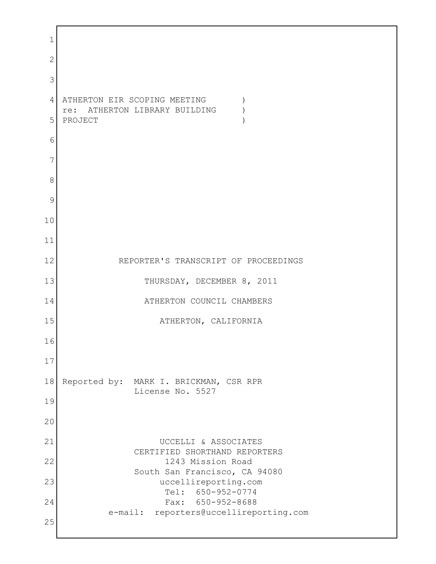1 2 3 4 ATHERTON EIR SCOPING MEETING ) re: ATHERTON LIBRARY BUILDING ) 5 PROJECT ) 6 7 8 9 10 11 12 REPORTER'S TRANSCRIPT OF PROCEEDINGS 13 THURSDAY, DECEMBER 8, 2011 14 ATHERTON COUNCIL CHAMBERS 15 ATHERTON, CALIFORNIA 16 17 18 Reported by: MARK I. BRICKMAN, CSR RPR License No. 5527 19 20 21 UCCELLI & ASSOCIATES CERTIFIED SHORTHAND REPORTERS 22 1243 Mission Road South San Francisco, CA 94080 23 uccellireporting.com Tel: 650-952-0774 24 Fax: 650-952-8688 e-mail: reporters@uccellireporting.com 25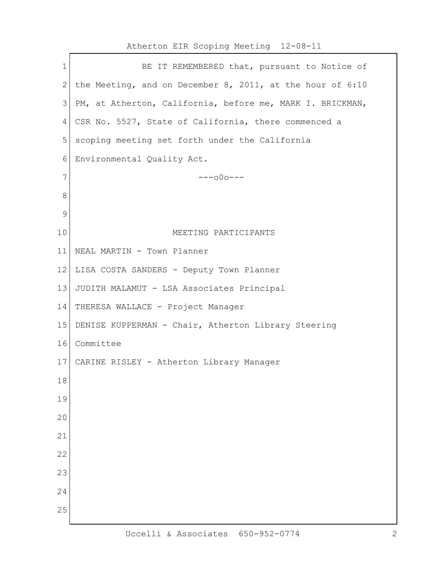| $\mathbf 1$  | BE IT REMEMBERED that, pursuant to Notice of              |
|--------------|-----------------------------------------------------------|
| $\mathbf{2}$ | the Meeting, and on December 8, 2011, at the hour of 6:10 |
| 3            | PM, at Atherton, California, before me, MARK I. BRICKMAN, |
| 4            | CSR No. 5527, State of California, there commenced a      |
| 5            | scoping meeting set forth under the California            |
| 6            | Environmental Quality Act.                                |
| 7            | $---000---$                                               |
| 8            |                                                           |
| 9            |                                                           |
| 10           | MEETING PARTICIPANTS                                      |
| 11           | NEAL MARTIN - Town Planner                                |
| 12           | LISA COSTA SANDERS - Deputy Town Planner                  |
| 13           | JUDITH MALAMUT - LSA Associates Principal                 |
| 14           | THERESA WALLACE - Project Manager                         |
| 15           | DENISE KUPPERMAN - Chair, Atherton Library Steering       |
| 16           | Committee                                                 |
| 17           | CARINE RISLEY - Atherton Library Manager                  |
| 18           |                                                           |
| 19           |                                                           |
| 20           |                                                           |
| 21           |                                                           |
| 22           |                                                           |
| 23           |                                                           |
| 24           |                                                           |
| 25           |                                                           |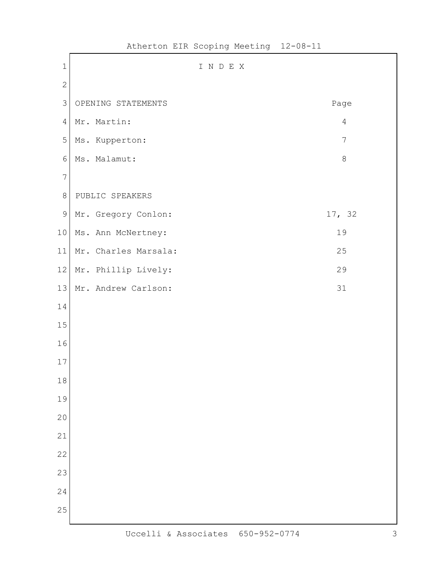| $1\,$          | I N D E X            |                |
|----------------|----------------------|----------------|
| $\sqrt{2}$     |                      |                |
| $\mathfrak{Z}$ | OPENING STATEMENTS   | Page           |
| $\sqrt{4}$     | Mr. Martin:          | $\sqrt{4}$     |
| $\mathbf 5$    | Ms. Kupperton:       | $\overline{7}$ |
| 6              | Ms. Malamut:         | $\,8\,$        |
| $\overline{7}$ |                      |                |
| $\,8\,$        | PUBLIC SPEAKERS      |                |
| $\mathsf 9$    | Mr. Gregory Conlon:  | 17, 32         |
| $10$           | Ms. Ann McNertney:   | 19             |
| 11             | Mr. Charles Marsala: | 25             |
| 12             | Mr. Phillip Lively:  | 29             |
| 13             | Mr. Andrew Carlson:  | 31             |
| 14             |                      |                |
| 15             |                      |                |
| 16             |                      |                |
| $17$           |                      |                |
| $18\,$         |                      |                |
| 19             |                      |                |
| 20             |                      |                |
| 21             |                      |                |
| 22             |                      |                |
| 23             |                      |                |
| 24             |                      |                |
| 25             |                      |                |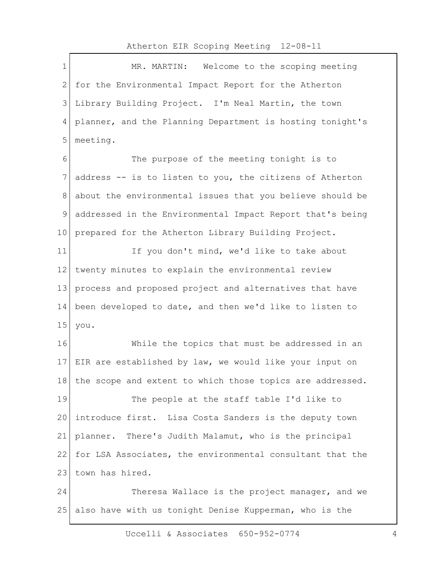$\Gamma$ 

| MR. MARTIN: Welcome to the scoping meeting                |
|-----------------------------------------------------------|
| for the Environmental Impact Report for the Atherton      |
| Library Building Project. I'm Neal Martin, the town       |
| planner, and the Planning Department is hosting tonight's |
| meeting.                                                  |
| The purpose of the meeting tonight is to                  |
| address -- is to listen to you, the citizens of Atherton  |
| about the environmental issues that you believe should be |
| addressed in the Environmental Impact Report that's being |
| prepared for the Atherton Library Building Project.       |
| If you don't mind, we'd like to take about                |
| twenty minutes to explain the environmental review        |
| process and proposed project and alternatives that have   |
| been developed to date, and then we'd like to listen to   |
| you.                                                      |
| While the topics that must be addressed in an             |
| EIR are established by law, we would like your input on   |
| the scope and extent to which those topics are addressed. |
| The people at the staff table I'd like to                 |
| introduce first. Lisa Costa Sanders is the deputy town    |
| planner. There's Judith Malamut, who is the principal     |
| for LSA Associates, the environmental consultant that the |
| town has hired.                                           |
| Theresa Wallace is the project manager, and we            |
| also have with us tonight Denise Kupperman, who is the    |
|                                                           |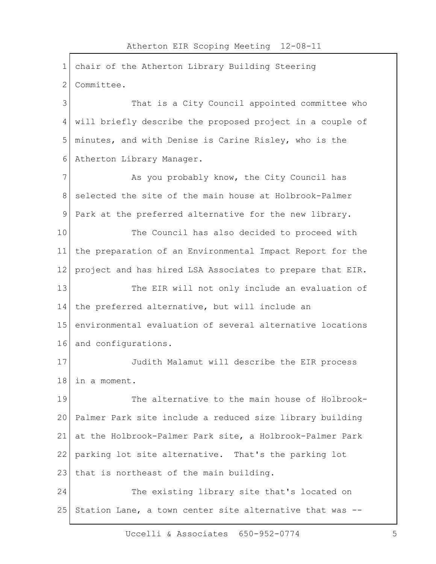1 chair of the Atherton Library Building Steering 2 Committee. 3 That is a City Council appointed committee who 4 will briefly describe the proposed project in a couple of 5 minutes, and with Denise is Carine Risley, who is the 6 Atherton Library Manager. 7 As you probably know, the City Council has 8 Selected the site of the main house at Holbrook-Palmer 9 Park at the preferred alternative for the new library. 10 The Council has also decided to proceed with 11 the preparation of an Environmental Impact Report for the 12 project and has hired LSA Associates to prepare that EIR. 13 The EIR will not only include an evaluation of 14 the preferred alternative, but will include an 15 environmental evaluation of several alternative locations 16 and configurations. 17 Judith Malamut will describe the EIR process 18 in a moment. 19 The alternative to the main house of Holbrook-20 Palmer Park site include a reduced size library building 21 at the Holbrook-Palmer Park site, a Holbrook-Palmer Park 22 parking lot site alternative. That's the parking lot 23 | that is northeast of the main building. 24 The existing library site that's located on 25 Station Lane, a town center site alternative that was  $-$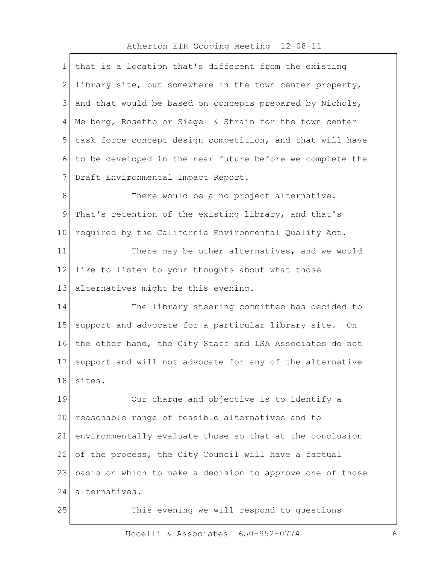| 1            | that is a location that's different from the existing     |
|--------------|-----------------------------------------------------------|
| $\mathbf{2}$ | library site, but somewhere in the town center property,  |
| 3            | and that would be based on concepts prepared by Nichols,  |
| 4            | Melberg, Rosetto or Siegel & Strain for the town center   |
| 5            | task force concept design competition, and that will have |
| 6            | to be developed in the near future before we complete the |
| 7            | Draft Environmental Impact Report.                        |
| 8            | There would be a no project alternative.                  |
| $\mathsf 9$  | That's retention of the existing library, and that's      |
| 10           | required by the California Environmental Quality Act.     |
| 11           | There may be other alternatives, and we would             |
| 12           | like to listen to your thoughts about what those          |
| 13           | alternatives might be this evening.                       |
| 14           | The library steering committee has decided to             |
| 15           | support and advocate for a particular library site. On    |
| 16           | the other hand, the City Staff and LSA Associates do not  |
| 17           | support and will not advocate for any of the alternative  |
| 18           | sites.                                                    |
| 19           | Our charge and objective is to identify a                 |
| 20           | reasonable range of feasible alternatives and to          |
| 21           | environmentally evaluate those so that at the conclusion  |
| 22           | of the process, the City Council will have a factual      |
| 23           | basis on which to make a decision to approve one of those |
| 24           | alternatives.                                             |
| 25           | This evening we will respond to questions                 |
|              |                                                           |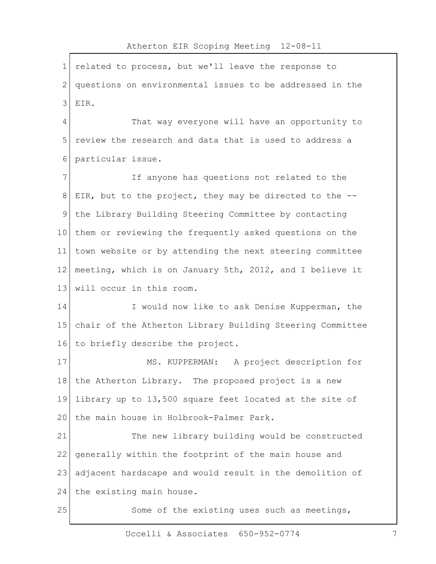| 1               | related to process, but we'll leave the response to       |
|-----------------|-----------------------------------------------------------|
| 2               | questions on environmental issues to be addressed in the  |
| 3               | EIR.                                                      |
| 4               | That way everyone will have an opportunity to             |
| 5               | review the research and data that is used to address a    |
| 6               | particular issue.                                         |
| 7               | If anyone has questions not related to the                |
| 8               | EIR, but to the project, they may be directed to the --   |
| 9               | the Library Building Steering Committee by contacting     |
| 10 <sup>°</sup> | them or reviewing the frequently asked questions on the   |
| 11              | town website or by attending the next steering committee  |
| 12              | meeting, which is on January 5th, 2012, and I believe it  |
| 13              | will occur in this room.                                  |
| 14              | I would now like to ask Denise Kupperman, the             |
| 15              | chair of the Atherton Library Building Steering Committee |
| 16              | to briefly describe the project.                          |
| 17              | MS. KUPPERMAN: A project description for                  |
| 18              | the Atherton Library. The proposed project is a new       |
| 19              | library up to 13,500 square feet located at the site of   |
| 20              | the main house in Holbrook-Palmer Park.                   |
| 21              | The new library building would be constructed             |
| 22              | generally within the footprint of the main house and      |
| 23              | adjacent hardscape and would result in the demolition of  |
| 24              | the existing main house.                                  |
| 25              | Some of the existing uses such as meetings,               |
|                 |                                                           |

Atherton EIR Scoping Meeting 12-08-11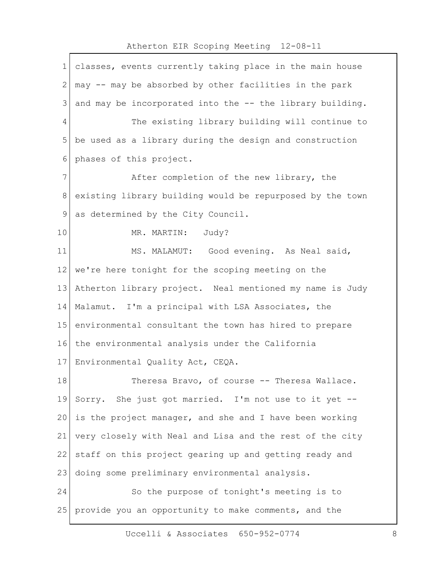|                | Atherton EIR Scoping Meeting 12-08-11                     |
|----------------|-----------------------------------------------------------|
| $\mathbf 1$    | classes, events currently taking place in the main house  |
| $\mathbf{2}$   | may -- may be absorbed by other facilities in the park    |
| 3              | and may be incorporated into the -- the library building. |
| $\overline{4}$ | The existing library building will continue to            |
| 5              | be used as a library during the design and construction   |
| 6              | phases of this project.                                   |
| 7              | After completion of the new library, the                  |
| 8              | existing library building would be repurposed by the town |
| $\mathcal{G}$  | as determined by the City Council.                        |
| 10             | MR. MARTIN: Judy?                                         |
| 11             | MS. MALAMUT: Good evening. As Neal said,                  |
| 12             | we're here tonight for the scoping meeting on the         |
| 13             | Atherton library project. Neal mentioned my name is Judy  |
| 14             | Malamut. I'm a principal with LSA Associates, the         |
| 15             | environmental consultant the town has hired to prepare    |
| 16             | the environmental analysis under the California           |
|                | 17 Environmental Quality Act, CEQA.                       |
| 18             | Theresa Bravo, of course -- Theresa Wallace.              |
| 19             | Sorry. She just got married. I'm not use to it yet --     |
| 20             | is the project manager, and she and I have been working   |
| 21             | very closely with Neal and Lisa and the rest of the city  |
| 22             | staff on this project gearing up and getting ready and    |
| 23             | doing some preliminary environmental analysis.            |
| 24             | So the purpose of tonight's meeting is to                 |
| 25             | provide you an opportunity to make comments, and the      |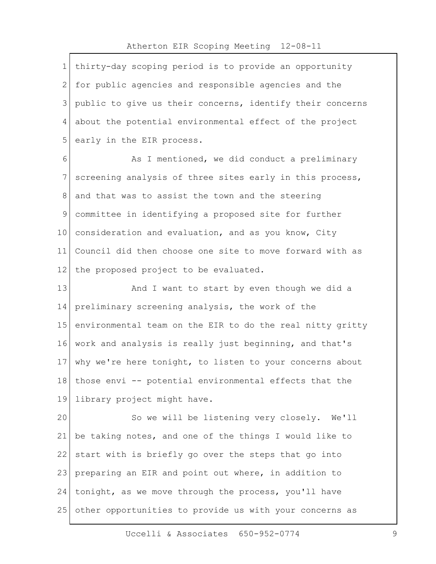| $\mathbf 1$ | thirty-day scoping period is to provide an opportunity    |
|-------------|-----------------------------------------------------------|
| 2           | for public agencies and responsible agencies and the      |
| 3           | public to give us their concerns, identify their concerns |
| 4           | about the potential environmental effect of the project   |
| 5           | early in the EIR process.                                 |
| 6           | As I mentioned, we did conduct a preliminary              |
| 7           | screening analysis of three sites early in this process,  |
| 8           | and that was to assist the town and the steering          |
| 9           | committee in identifying a proposed site for further      |
| 10          | consideration and evaluation, and as you know, City       |
| 11          | Council did then choose one site to move forward with as  |
| 12          | the proposed project to be evaluated.                     |
| 13          | And I want to start by even though we did a               |
| 14          | preliminary screening analysis, the work of the           |
| 15          | environmental team on the EIR to do the real nitty gritty |
| 16          | work and analysis is really just beginning, and that's    |
| 17          | why we're here tonight, to listen to your concerns about  |
| 18          | those envi -- potential environmental effects that the    |
| 19          | library project might have.                               |
| 20          | So we will be listening very closely. We'll               |
| 21          | be taking notes, and one of the things I would like to    |
| 22          | start with is briefly go over the steps that go into      |
| 23          | preparing an EIR and point out where, in addition to      |
| 24          | tonight, as we move through the process, you'll have      |
| 25          | other opportunities to provide us with your concerns as   |
|             |                                                           |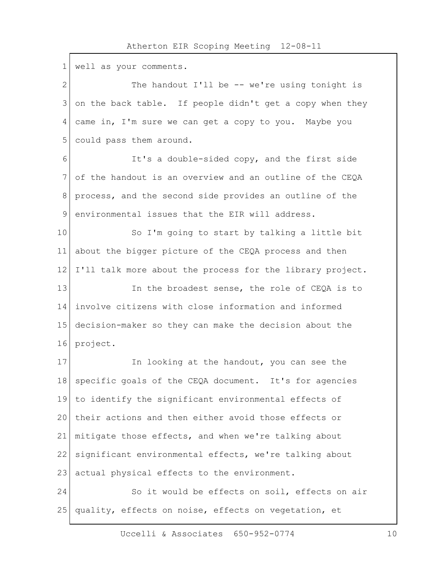$\Gamma$ 

| 1             | well as your comments.                                    |
|---------------|-----------------------------------------------------------|
| $\mathbf{2}$  | The handout I'll be -- we're using tonight is             |
| 3             | on the back table. If people didn't get a copy when they  |
| 4             | came in, I'm sure we can get a copy to you. Maybe you     |
| 5             | could pass them around.                                   |
| $6\,$         | It's a double-sided copy, and the first side              |
| 7             | of the handout is an overview and an outline of the CEQA  |
| 8             | process, and the second side provides an outline of the   |
| $\mathcal{G}$ | environmental issues that the EIR will address.           |
| 10            | So I'm going to start by talking a little bit             |
| 11            | about the bigger picture of the CEQA process and then     |
| 12            | I'll talk more about the process for the library project. |
| 13            | In the broadest sense, the role of CEQA is to             |
| 14            | involve citizens with close information and informed      |
| 15            | decision-maker so they can make the decision about the    |
| 16            | project.                                                  |
| 17            | In looking at the handout, you can see the                |
| 18            | specific goals of the CEQA document. It's for agencies    |
| 19            | to identify the significant environmental effects of      |
| 20            | their actions and then either avoid those effects or      |
| 21            | mitigate those effects, and when we're talking about      |
| 22            | significant environmental effects, we're talking about    |
| 23            | actual physical effects to the environment.               |
| 24            | So it would be effects on soil, effects on air            |
| 25            | quality, effects on noise, effects on vegetation, et      |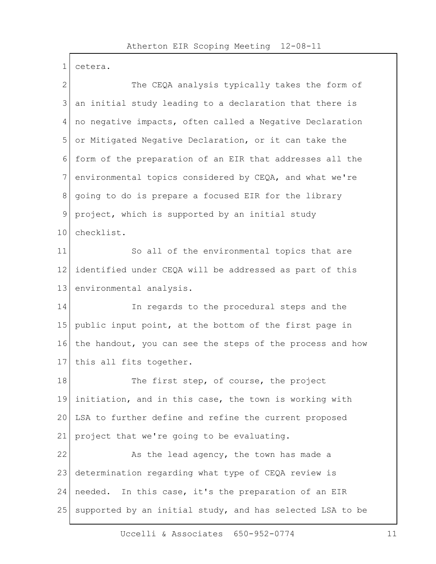1 cetera.

| $\overline{2}$ | The CEQA analysis typically takes the form of             |
|----------------|-----------------------------------------------------------|
| 3              | an initial study leading to a declaration that there is   |
| 4              | no negative impacts, often called a Negative Declaration  |
| 5              | or Mitigated Negative Declaration, or it can take the     |
| 6              | form of the preparation of an EIR that addresses all the  |
| $\overline{7}$ | environmental topics considered by CEQA, and what we're   |
| 8              | going to do is prepare a focused EIR for the library      |
| 9              | project, which is supported by an initial study           |
| 10             | checklist.                                                |
| 11             | So all of the environmental topics that are               |
| 12             | identified under CEQA will be addressed as part of this   |
| 13             | environmental analysis.                                   |
| 14             | In regards to the procedural steps and the                |
| 15             | public input point, at the bottom of the first page in    |
| 16             | the handout, you can see the steps of the process and how |
| 17             | this all fits together.                                   |
| 18             | The first step, of course, the project                    |
| 19             | initiation, and in this case, the town is working with    |
| 20             | LSA to further define and refine the current proposed     |
| 21             | project that we're going to be evaluating.                |
| 22             | As the lead agency, the town has made a                   |
| 23             | determination regarding what type of CEQA review is       |
| 24             | needed. In this case, it's the preparation of an EIR      |
| 25             | supported by an initial study, and has selected LSA to be |
|                |                                                           |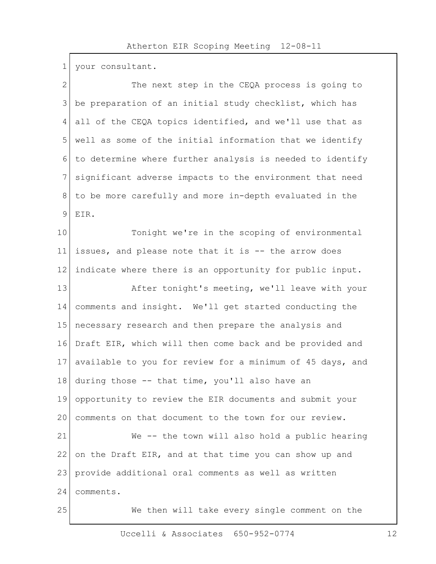1 your consultant.

L

| $\overline{2}$ | The next step in the CEQA process is going to             |
|----------------|-----------------------------------------------------------|
| 3              | be preparation of an initial study checklist, which has   |
| 4              | all of the CEQA topics identified, and we'll use that as  |
| 5              | well as some of the initial information that we identify  |
| 6              | to determine where further analysis is needed to identify |
| 7              | significant adverse impacts to the environment that need  |
| 8              | to be more carefully and more in-depth evaluated in the   |
| 9              | EIR.                                                      |
| 10             | Tonight we're in the scoping of environmental             |
| 11             | issues, and please note that it is -- the arrow does      |
| 12             | indicate where there is an opportunity for public input.  |
| 13             | After tonight's meeting, we'll leave with your            |
| 14             | comments and insight. We'll get started conducting the    |
| 15             | necessary research and then prepare the analysis and      |
| 16             | Draft EIR, which will then come back and be provided and  |
| 17             | available to you for review for a minimum of 45 days, and |
| 18             | during those -- that time, you'll also have an            |
| 19             | opportunity to review the EIR documents and submit your   |
| 20             | comments on that document to the town for our review.     |
| 21             | We -- the town will also hold a public hearing            |
| 22             | on the Draft EIR, and at that time you can show up and    |
| 23             | provide additional oral comments as well as written       |
| 24             | comments.                                                 |
| 25             | We then will take every single comment on the             |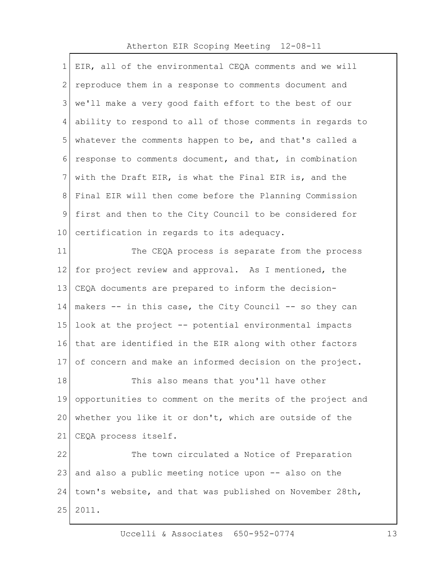| 1       | EIR, all of the environmental CEQA comments and we will   |
|---------|-----------------------------------------------------------|
| 2       | reproduce them in a response to comments document and     |
| 3       | we'll make a very good faith effort to the best of our    |
| 4       | ability to respond to all of those comments in regards to |
| 5       | whatever the comments happen to be, and that's called a   |
| 6       | response to comments document, and that, in combination   |
| 7       | with the Draft EIR, is what the Final EIR is, and the     |
| 8       | Final EIR will then come before the Planning Commission   |
| 9       | first and then to the City Council to be considered for   |
| $10 \,$ | certification in regards to its adequacy.                 |
| 11      | The CEQA process is separate from the process             |
| 12      | for project review and approval. As I mentioned, the      |
| 13      | CEQA documents are prepared to inform the decision-       |
| 14      | makers -- in this case, the City Council -- so they can   |
| 15      | look at the project -- potential environmental impacts    |
| 16      | that are identified in the EIR along with other factors   |
| 17      | of concern and make an informed decision on the project.  |
| 18      | This also means that you'll have other                    |
| 19      | opportunities to comment on the merits of the project and |
| 20      | whether you like it or don't, which are outside of the    |
| 21      | CEQA process itself.                                      |
| 22      | The town circulated a Notice of Preparation               |
| 23      | and also a public meeting notice upon -- also on the      |
| 24      | town's website, and that was published on November 28th,  |
| 25      | 2011.                                                     |
|         |                                                           |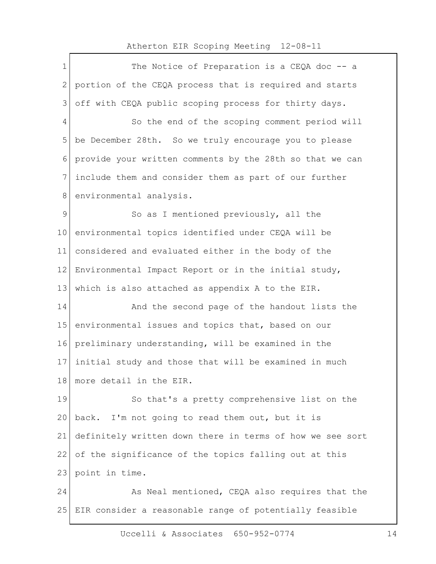1 The Notice of Preparation is a CEQA doc -- a 2 portion of the CEQA process that is required and starts 3 off with CEQA public scoping process for thirty days. 4 So the end of the scoping comment period will 5 be December 28th. So we truly encourage you to please 6 provide your written comments by the 28th so that we can 7 include them and consider them as part of our further 8 environmental analysis. 9 So as I mentioned previously, all the 10 environmental topics identified under CEQA will be 11 considered and evaluated either in the body of the 12 Environmental Impact Report or in the initial study, 13 which is also attached as appendix A to the EIR. 14 And the second page of the handout lists the 15 environmental issues and topics that, based on our 16 preliminary understanding, will be examined in the 17 initial study and those that will be examined in much 18 more detail in the EIR. 19 So that's a pretty comprehensive list on the 20 back. I'm not going to read them out, but it is 21 definitely written down there in terms of how we see sort 22 of the significance of the topics falling out at this 23 point in time. 24 As Neal mentioned, CEQA also requires that the 25 EIR consider a reasonable range of potentially feasible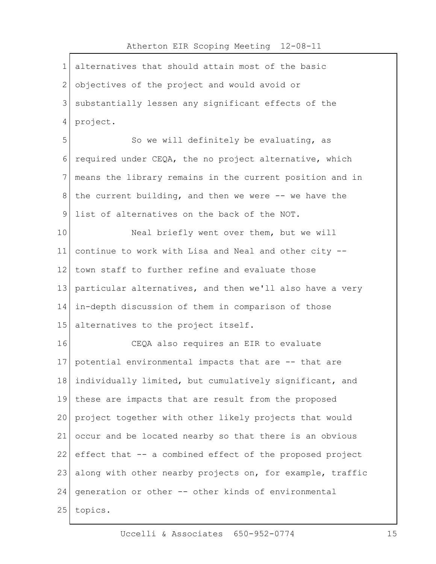| $\mathbf 1$   | alternatives that should attain most of the basic         |
|---------------|-----------------------------------------------------------|
| $\mathbf{2}$  | objectives of the project and would avoid or              |
| 3             | substantially lessen any significant effects of the       |
| 4             | project.                                                  |
| 5             | So we will definitely be evaluating, as                   |
| 6             | required under CEQA, the no project alternative, which    |
| 7             | means the library remains in the current position and in  |
| 8             | the current building, and then we were -- we have the     |
| $\mathcal{G}$ | list of alternatives on the back of the NOT.              |
| 10            | Neal briefly went over them, but we will                  |
| 11            | continue to work with Lisa and Neal and other city --     |
| 12            | town staff to further refine and evaluate those           |
| 13            | particular alternatives, and then we'll also have a very  |
| 14            | in-depth discussion of them in comparison of those        |
| 15            | alternatives to the project itself.                       |
| 16            | CEQA also requires an EIR to evaluate                     |
| 17            | potential environmental impacts that are -- that are      |
| 18            | individually limited, but cumulatively significant, and   |
| 19            | these are impacts that are result from the proposed       |
| 20            | project together with other likely projects that would    |
| 21            | occur and be located nearby so that there is an obvious   |
| 22            | effect that -- a combined effect of the proposed project  |
| 23            | along with other nearby projects on, for example, traffic |
| 24            | generation or other -- other kinds of environmental       |
| 25            | topics.                                                   |
|               |                                                           |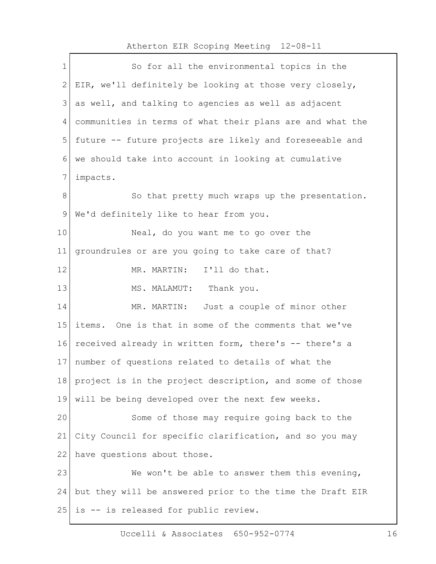| $\mathbf 1$  | So for all the environmental topics in the                |
|--------------|-----------------------------------------------------------|
| $\mathbf{2}$ | EIR, we'll definitely be looking at those very closely,   |
| 3            | as well, and talking to agencies as well as adjacent      |
| 4            | communities in terms of what their plans are and what the |
| 5            | future -- future projects are likely and foreseeable and  |
| 6            | we should take into account in looking at cumulative      |
| 7            | impacts.                                                  |
| 8            | So that pretty much wraps up the presentation.            |
| 9            | We'd definitely like to hear from you.                    |
| 10           | Neal, do you want me to go over the                       |
| 11           | groundrules or are you going to take care of that?        |
| 12           | MR. MARTIN: I'll do that.                                 |
| 13           | MS. MALAMUT: Thank you.                                   |
| 14           | Just a couple of minor other<br>MR. MARTIN:               |
| 15           | items. One is that in some of the comments that we've     |
| 16           | received already in written form, there's -- there's a    |
| 17           | number of questions related to details of what the        |
| 18           | project is in the project description, and some of those  |
| 19           | will be being developed over the next few weeks.          |
| 20           | Some of those may require going back to the               |
| 21           | City Council for specific clarification, and so you may   |
| 22           | have questions about those.                               |
| 23           | We won't be able to answer them this evening,             |
| 24           | but they will be answered prior to the time the Draft EIR |
| 25           | is -- is released for public review.                      |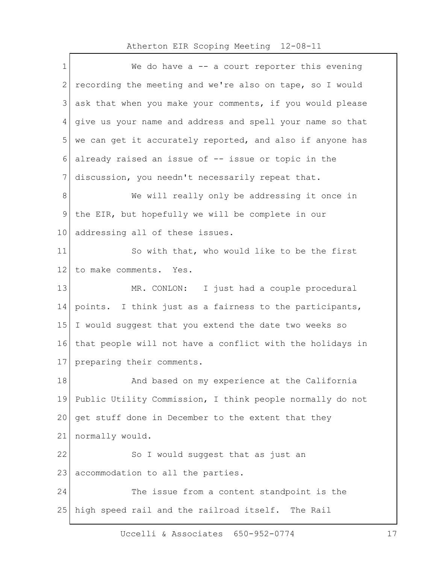$\mathbf{r}$ 

| $\mathbf 1$     | We do have $a$ -- a court reporter this evening           |
|-----------------|-----------------------------------------------------------|
| $\mathbf{2}$    | recording the meeting and we're also on tape, so I would  |
| 3               | ask that when you make your comments, if you would please |
| 4               | give us your name and address and spell your name so that |
| 5               | we can get it accurately reported, and also if anyone has |
| 6               | already raised an issue of -- issue or topic in the       |
| 7               | discussion, you needn't necessarily repeat that.          |
| 8               | We will really only be addressing it once in              |
| 9               | the EIR, but hopefully we will be complete in our         |
| 10 <sub>1</sub> | addressing all of these issues.                           |
| 11              | So with that, who would like to be the first              |
| 12              | to make comments. Yes.                                    |
| 13              | MR. CONLON: I just had a couple procedural                |
| 14              | points. I think just as a fairness to the participants,   |
| 15              | I would suggest that you extend the date two weeks so     |
| 16              | that people will not have a conflict with the holidays in |
| 17              | preparing their comments.                                 |
| 18              | And based on my experience at the California              |
| 19              | Public Utility Commission, I think people normally do not |
| 20              | get stuff done in December to the extent that they        |
| 21              | normally would.                                           |
| 22              | So I would suggest that as just an                        |
| 23              | accommodation to all the parties.                         |
| 24              | The issue from a content standpoint is the                |
| 25              | high speed rail and the railroad itself. The Rail         |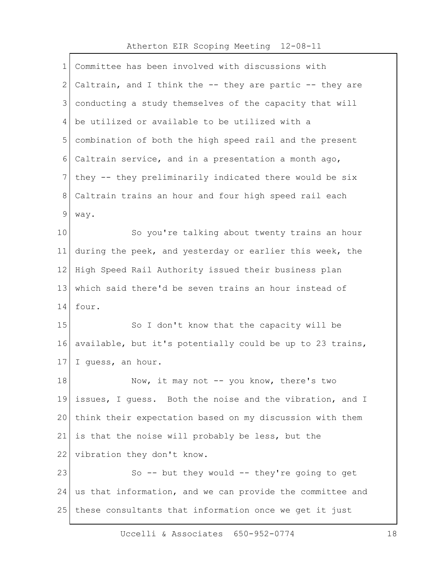$\Gamma$ 

| $\mathbf 1$ | Committee has been involved with discussions with         |
|-------------|-----------------------------------------------------------|
| 2           | Caltrain, and I think the -- they are partic -- they are  |
| 3           | conducting a study themselves of the capacity that will   |
| 4           | be utilized or available to be utilized with a            |
| 5           | combination of both the high speed rail and the present   |
| 6           | Caltrain service, and in a presentation a month ago,      |
| 7           | they -- they preliminarily indicated there would be six   |
| 8           | Caltrain trains an hour and four high speed rail each     |
| $\mathsf 9$ | way.                                                      |
| 10          | So you're talking about twenty trains an hour             |
| 11          | during the peek, and yesterday or earlier this week, the  |
| 12          | High Speed Rail Authority issued their business plan      |
| 13          | which said there'd be seven trains an hour instead of     |
| 14          | four.                                                     |
| 15          | So I don't know that the capacity will be                 |
| 16          | available, but it's potentially could be up to 23 trains, |
| 17          | I guess, an hour.                                         |
| 18          | Now, it may not -- you know, there's two                  |
| 19          | issues, I guess. Both the noise and the vibration, and I  |
| 20          | think their expectation based on my discussion with them  |
| 21          | is that the noise will probably be less, but the          |
| 22          | vibration they don't know.                                |
| 23          | So -- but they would -- they're going to get              |
| 24          | us that information, and we can provide the committee and |
| 25          | these consultants that information once we get it just    |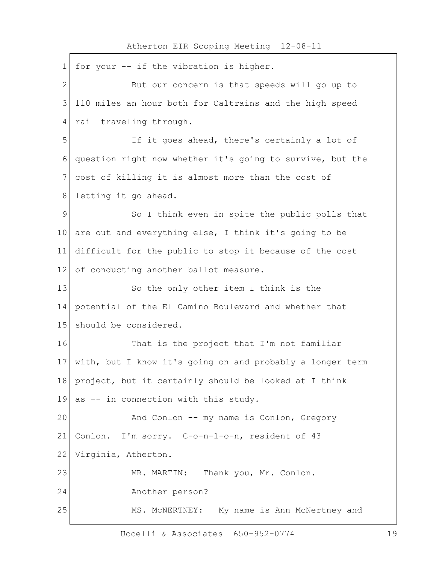$\mathbf{r}$ 

| $\mathbf 1$   | for your -- if the vibration is higher.                   |
|---------------|-----------------------------------------------------------|
| 2             | But our concern is that speeds will go up to              |
| 3             | 110 miles an hour both for Caltrains and the high speed   |
| 4             | rail traveling through.                                   |
| 5             | If it goes ahead, there's certainly a lot of              |
| 6             | question right now whether it's going to survive, but the |
| 7             | cost of killing it is almost more than the cost of        |
| 8             | letting it go ahead.                                      |
| $\mathcal{G}$ | So I think even in spite the public polls that            |
| 10            | are out and everything else, I think it's going to be     |
| 11            | difficult for the public to stop it because of the cost   |
| 12            | of conducting another ballot measure.                     |
| 13            | So the only other item I think is the                     |
| 14            | potential of the El Camino Boulevard and whether that     |
| 15            | should be considered.                                     |
| 16            | That is the project that I'm not familiar                 |
| 17            | with, but I know it's going on and probably a longer term |
| 18            | project, but it certainly should be looked at I think     |
| 19            | as -- in connection with this study.                      |
| 20            | And Conlon -- my name is Conlon, Gregory                  |
| 21            | Conlon. I'm sorry. C-o-n-1-o-n, resident of 43            |
| 22            | Virginia, Atherton.                                       |
| 23            | MR. MARTIN:<br>Thank you, Mr. Conlon.                     |
| 24            | Another person?                                           |
| 25            | MS. MCNERTNEY: My name is Ann McNertney and               |

Uccelli & Associates 650-952-0774 19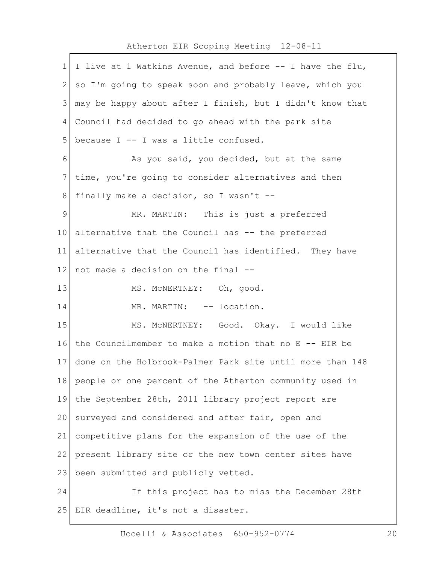# Atherton EIR Scoping Meeting 12-08-11 1 I live at 1 Watkins Avenue, and before  $-$  I have the flu,

2 so I'm going to speak soon and probably leave, which you  $3 \mid$  may be happy about after I finish, but I didn't know that 4 Council had decided to go ahead with the park site 5 because I  $-$  I was a little confused. 6 As you said, you decided, but at the same 7 time, you're going to consider alternatives and then 8 finally make a decision, so I wasn't --9 MR. MARTIN: This is just a preferred  $10$  alternative that the Council has  $-$  the preferred 11 alternative that the Council has identified. They have 12 not made a decision on the final  $-$ 13 MS. MCNERTNEY: Oh, good. 14 MR. MARTIN: -- location. 15 MS. MCNERTNEY: Good. Okay. I would like 16 the Councilmember to make a motion that no  $E - - EIR$  be 17 done on the Holbrook-Palmer Park site until more than 148 18 people or one percent of the Atherton community used in 19 the September 28th, 2011 library project report are 20 surveyed and considered and after fair, open and 21 competitive plans for the expansion of the use of the 22 present library site or the new town center sites have 23 been submitted and publicly vetted. 24 If this project has to miss the December 28th 25 EIR deadline, it's not a disaster.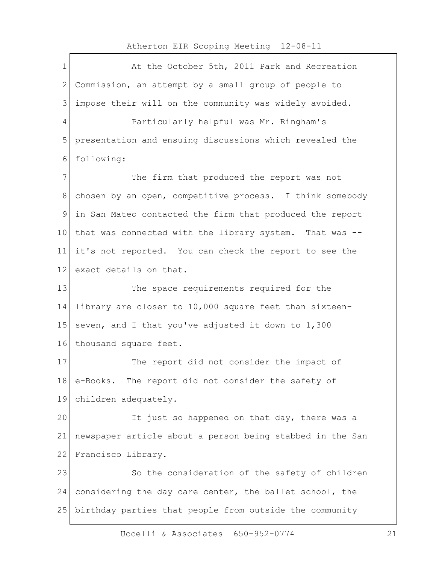$\Gamma$ 

| $\mathbf 1$  | At the October 5th, 2011 Park and Recreation              |
|--------------|-----------------------------------------------------------|
| $\mathbf{2}$ | Commission, an attempt by a small group of people to      |
| 3            | impose their will on the community was widely avoided.    |
| 4            | Particularly helpful was Mr. Ringham's                    |
| 5            | presentation and ensuing discussions which revealed the   |
| 6            | following:                                                |
| 7            | The firm that produced the report was not                 |
| 8            | chosen by an open, competitive process. I think somebody  |
| 9            | in San Mateo contacted the firm that produced the report  |
| 10           | that was connected with the library system. That was --   |
| 11           | it's not reported. You can check the report to see the    |
| 12           | exact details on that.                                    |
| 13           | The space requirements required for the                   |
| 14           | library are closer to 10,000 square feet than sixteen-    |
| 15           | seven, and I that you've adjusted it down to 1,300        |
| 16           | thousand square feet.                                     |
| 17           | The report did not consider the impact of                 |
| 18           | e-Books. The report did not consider the safety of        |
| 19           | children adequately.                                      |
| 20           | It just so happened on that day, there was a              |
| 21           | newspaper article about a person being stabbed in the San |
| 22           | Francisco Library.                                        |
| 23           | So the consideration of the safety of children            |
| 24           | considering the day care center, the ballet school, the   |
| 25           | birthday parties that people from outside the community   |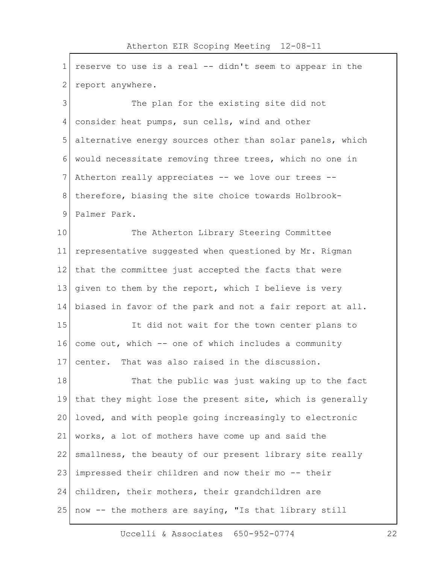| $\mathbf 1$    | reserve to use is a real -- didn't seem to appear in the  |
|----------------|-----------------------------------------------------------|
| $\overline{2}$ | report anywhere.                                          |
| 3              | The plan for the existing site did not                    |
| 4              | consider heat pumps, sun cells, wind and other            |
| 5              | alternative energy sources other than solar panels, which |
| 6              | would necessitate removing three trees, which no one in   |
| 7              | Atherton really appreciates -- we love our trees --       |
| 8              | therefore, biasing the site choice towards Holbrook-      |
| $\mathsf 9$    | Palmer Park.                                              |
| 10             | The Atherton Library Steering Committee                   |
| 11             | representative suggested when questioned by Mr. Rigman    |
| 12             | that the committee just accepted the facts that were      |
| 13             | given to them by the report, which I believe is very      |
| 14             | biased in favor of the park and not a fair report at all. |
| 15             | It did not wait for the town center plans to              |
| 16             | come out, which -- one of which includes a community      |
| 17             | center. That was also raised in the discussion.           |
| 18             | That the public was just waking up to the fact            |
| 19             | that they might lose the present site, which is generally |
| 20             | loved, and with people going increasingly to electronic   |
| 21             | works, a lot of mothers have come up and said the         |
| 22             | smallness, the beauty of our present library site really  |
| 23             | impressed their children and now their mo -- their        |
| 24             | children, their mothers, their grandchildren are          |
| 25             | now -- the mothers are saying, "Is that library still     |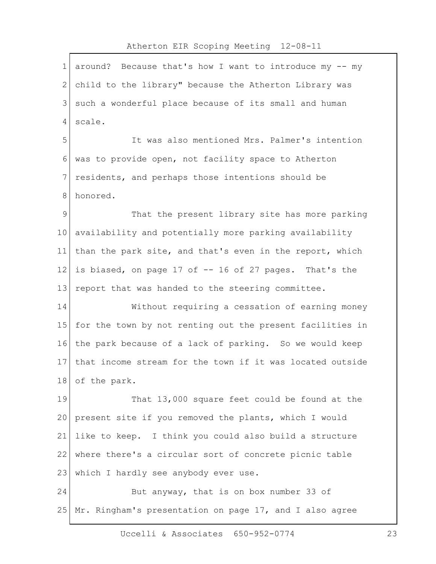## Atherton EIR Scoping Meeting 12-08-11 1 around? Because that's how I want to introduce my -- my 2 child to the library" because the Atherton Library was 3 such a wonderful place because of its small and human 4 scale. 5 It was also mentioned Mrs. Palmer's intention 6 was to provide open, not facility space to Atherton 7 residents, and perhaps those intentions should be 8 honored. 9 That the present library site has more parking 10 availability and potentially more parking availability 11 than the park site, and that's even in the report, which 12 is biased, on page 17 of  $-$  16 of 27 pages. That's the 13 report that was handed to the steering committee. 14 Without requiring a cessation of earning money 15 for the town by not renting out the present facilities in 16 the park because of a lack of parking. So we would keep 17 that income stream for the town if it was located outside 18 of the park. 19 That 13,000 square feet could be found at the 20 present site if you removed the plants, which I would 21 like to keep. I think you could also build a structure 22 where there's a circular sort of concrete picnic table 23 | which I hardly see anybody ever use. 24 But anyway, that is on box number 33 of 25 Mr. Ringham's presentation on page 17, and I also agree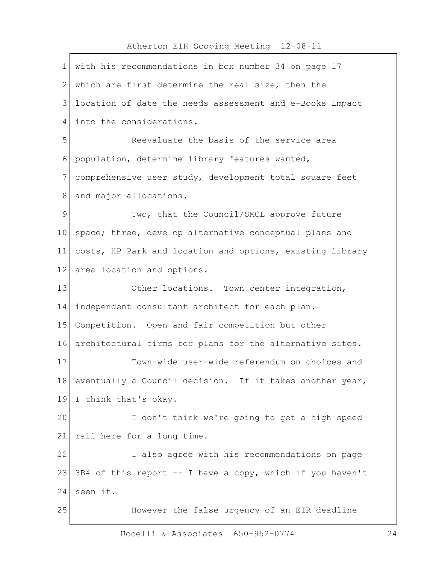## Atherton EIR Scoping Meeting 12-08-11 1 with his recommendations in box number 34 on page 17 2 which are first determine the real size, then the 3<sup>1</sup> location of date the needs assessment and e-Books impact 4 into the considerations. 5 Reevaluate the basis of the service area 6 population, determine library features wanted, 7 comprehensive user study, development total square feet 8 and major allocations. 9 Two, that the Council/SMCL approve future 10 space; three, develop alternative conceptual plans and 11 costs, HP Park and location and options, existing library 12 area location and options. 13 Other locations. Town center integration, 14 | independent consultant architect for each plan. 15 Competition. Open and fair competition but other 16 architectural firms for plans for the alternative sites. 17 Town-wide user-wide referendum on choices and 18 eventually a Council decision. If it takes another year, 19 I think that's okay. 20 I don't think we're going to get a high speed 21 rail here for a long time. 22 I also agree with his recommendations on page 23 3B4 of this report -- I have a copy, which if you haven't 24 seen it. 25 However the false urgency of an EIR deadline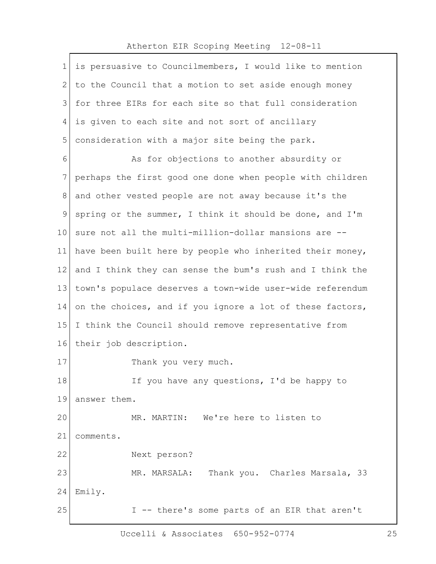$\Gamma$ 

| $\mathbf 1$ | is persuasive to Councilmembers, I would like to mention  |
|-------------|-----------------------------------------------------------|
| 2           | to the Council that a motion to set aside enough money    |
| 3           | for three EIRs for each site so that full consideration   |
| 4           | is given to each site and not sort of ancillary           |
| 5           | consideration with a major site being the park.           |
| 6           | As for objections to another absurdity or                 |
| 7           | perhaps the first good one done when people with children |
| 8           | and other vested people are not away because it's the     |
| 9           | spring or the summer, I think it should be done, and I'm  |
| 10          | sure not all the multi-million-dollar mansions are --     |
| 11          | have been built here by people who inherited their money, |
| 12          | and I think they can sense the bum's rush and I think the |
| 13          | town's populace deserves a town-wide user-wide referendum |
| 14          | on the choices, and if you ignore a lot of these factors, |
| 15          | I think the Council should remove representative from     |
| 16          | their job description.                                    |
| 17          | Thank you very much.                                      |
| 18          | If you have any questions, I'd be happy to                |
| 19          | answer them.                                              |
| 20          | MR. MARTIN: We're here to listen to                       |
| 21          | comments.                                                 |
| 22          | Next person?                                              |
| 23          | MR. MARSALA:<br>Thank you. Charles Marsala, 33            |
| 24          | Emily.                                                    |
| 25          | I -- there's some parts of an EIR that aren't             |

Uccelli & Associates 650-952-0774 25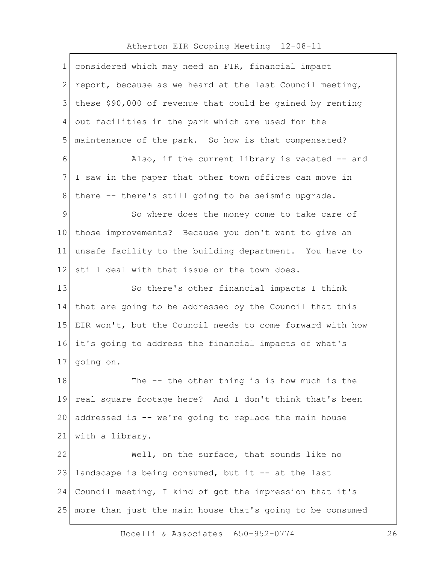| $\mathbf 1$     | considered which may need an FIR, financial impact        |
|-----------------|-----------------------------------------------------------|
| 2               | report, because as we heard at the last Council meeting,  |
| 3               | these \$90,000 of revenue that could be gained by renting |
| 4               | out facilities in the park which are used for the         |
| 5               | maintenance of the park. So how is that compensated?      |
| 6               | Also, if the current library is vacated -- and            |
| 7               | I saw in the paper that other town offices can move in    |
| 8               | there -- there's still going to be seismic upgrade.       |
| 9               | So where does the money come to take care of              |
| 10 <sub>1</sub> | those improvements? Because you don't want to give an     |
| 11              | unsafe facility to the building department. You have to   |
| 12              | still deal with that issue or the town does.              |
| 13              | So there's other financial impacts I think                |
| 14              | that are going to be addressed by the Council that this   |
| 15 <sub>2</sub> | EIR won't, but the Council needs to come forward with how |
| 16              | it's going to address the financial impacts of what's     |
| 17              | going on.                                                 |
| 18              | The -- the other thing is is how much is the              |
| 19              | real square footage here? And I don't think that's been   |
| 20              | addressed is -- we're going to replace the main house     |
| 21              | with a library.                                           |
| 22              | Well, on the surface, that sounds like no                 |
| 23              | landscape is being consumed, but it -- at the last        |
| 24              | Council meeting, I kind of got the impression that it's   |
| 25              | more than just the main house that's going to be consumed |
|                 |                                                           |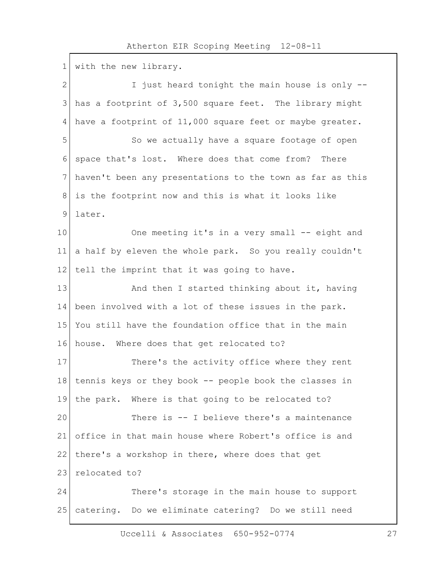$\Gamma$ 

| 1            | with the new library.                                        |
|--------------|--------------------------------------------------------------|
| $\mathbf{2}$ | I just heard tonight the main house is only --               |
| 3            | has a footprint of 3,500 square feet. The library might      |
| 4            | have a footprint of 11,000 square feet or maybe greater.     |
| 5            | So we actually have a square footage of open                 |
| 6            | space that's lost. Where does that come from?<br>There       |
| 7            | haven't been any presentations to the town as far as this    |
| 8            | is the footprint now and this is what it looks like          |
| 9            | later.                                                       |
| 10           | One meeting it's in a very small -- eight and                |
| 11           | a half by eleven the whole park. So you really couldn't      |
| 12           | tell the imprint that it was going to have.                  |
| 13           | And then I started thinking about it, having                 |
| 14           | been involved with a lot of these issues in the park.        |
| 15           | You still have the foundation office that in the main        |
| 16           | house. Where does that get relocated to?                     |
| 17           | There's the activity office where they rent                  |
|              | 18   tennis keys or they book $-$ people book the classes in |
| 19           | the park. Where is that going to be relocated to?            |
| 20           | There is -- I believe there's a maintenance                  |
| 21           | office in that main house where Robert's office is and       |
| 22           | there's a workshop in there, where does that get             |
| 23           | relocated to?                                                |
| 24           | There's storage in the main house to support                 |
| 25           | catering. Do we eliminate catering? Do we still need         |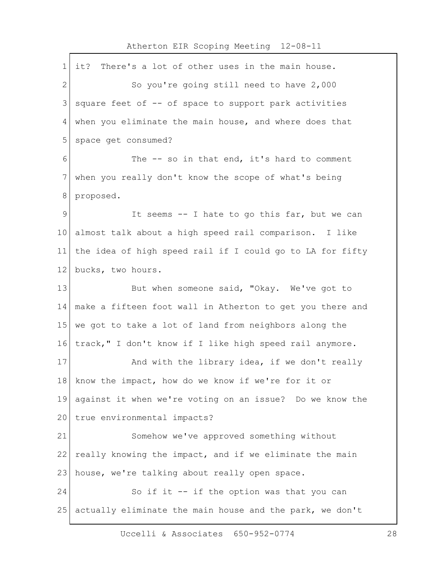| 1              | There's a lot of other uses in the main house.<br>it?     |
|----------------|-----------------------------------------------------------|
| $\overline{2}$ | So you're going still need to have 2,000                  |
| 3              | square feet of -- of space to support park activities     |
| 4              | when you eliminate the main house, and where does that    |
| 5              | space get consumed?                                       |
| 6              | The $-$ so in that end, it's hard to comment              |
| 7              | when you really don't know the scope of what's being      |
| 8              | proposed.                                                 |
| 9              | It seems -- I hate to go this far, but we can             |
| $10 \,$        | almost talk about a high speed rail comparison. I like    |
| 11             | the idea of high speed rail if I could go to LA for fifty |
| 12             | bucks, two hours.                                         |
| 13             | But when someone said, "Okay. We've got to                |
| 14             | make a fifteen foot wall in Atherton to get you there and |
| 15             | we got to take a lot of land from neighbors along the     |
| 16             | track," I don't know if I like high speed rail anymore.   |
| 17             | And with the library idea, if we don't really             |
| 18             | know the impact, how do we know if we're for it or        |
| 19             | against it when we're voting on an issue? Do we know the  |
| 20             | true environmental impacts?                               |
| 21             | Somehow we've approved something without                  |
| 22             | really knowing the impact, and if we eliminate the main   |
| 23             | house, we're talking about really open space.             |
| 24             | So if it -- if the option was that you can                |
| 25             | actually eliminate the main house and the park, we don't  |
|                |                                                           |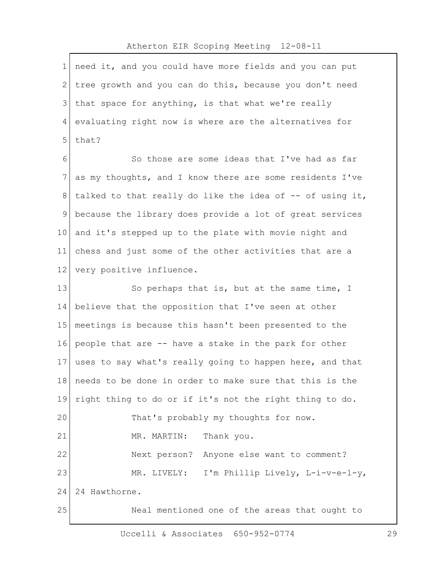| $\mathbf 1$ | need it, and you could have more fields and you can put   |
|-------------|-----------------------------------------------------------|
| 2           | tree growth and you can do this, because you don't need   |
| 3           | that space for anything, is that what we're really        |
| 4           | evaluating right now is where are the alternatives for    |
| 5           | that?                                                     |
| 6           | So those are some ideas that I've had as far              |
| 7           | as my thoughts, and I know there are some residents I've  |
| 8           | talked to that really do like the idea of -- of using it, |
| 9           | because the library does provide a lot of great services  |
| $10 \,$     | and it's stepped up to the plate with movie night and     |
| 11          | chess and just some of the other activities that are a    |
| 12          | very positive influence.                                  |
| 13          | So perhaps that is, but at the same time, I               |
| 14          | believe that the opposition that I've seen at other       |
| 15          | meetings is because this hasn't been presented to the     |
| 16          | people that are -- have a stake in the park for other     |
| 17          | uses to say what's really going to happen here, and that  |
| 18          | needs to be done in order to make sure that this is the   |
| 19          | right thing to do or if it's not the right thing to do.   |
| 20          | That's probably my thoughts for now.                      |
| 21          | Thank you.<br>MR. MARTIN:                                 |
| 22          | Next person? Anyone else want to comment?                 |
| 23          | MR. LIVELY: I'm Phillip Lively, L-i-v-e-l-y,              |
| 24          | 24 Hawthorne.                                             |
| 25          | Neal mentioned one of the areas that ought to             |

Uccelli & Associates 650-952-0774 29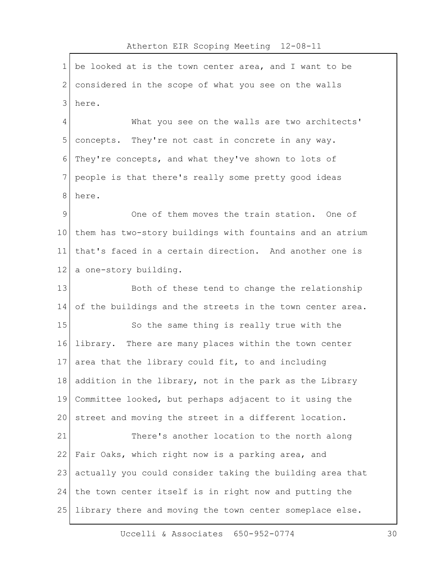|                | $110110 + 0011$ $1110$ $00000 + 110$ $110000 + 110$       |
|----------------|-----------------------------------------------------------|
| $\mathbf 1$    | be looked at is the town center area, and I want to be    |
| $\mathbf{2}$   | considered in the scope of what you see on the walls      |
| 3              | here.                                                     |
| $\overline{4}$ | What you see on the walls are two architects'             |
| 5              | concepts. They're not cast in concrete in any way.        |
| 6              | They're concepts, and what they've shown to lots of       |
| 7              | people is that there's really some pretty good ideas      |
| $\,8\,$        | here.                                                     |
| $\mathcal{G}$  | One of them moves the train station. One of               |
| 10             | them has two-story buildings with fountains and an atrium |
| 11             | that's faced in a certain direction. And another one is   |
| 12             | a one-story building.                                     |
| 13             | Both of these tend to change the relationship             |
| 14             | of the buildings and the streets in the town center area. |
| 15             | So the same thing is really true with the                 |
| 16             | library. There are many places within the town center     |
| 17             | area that the library could fit, to and including         |
| 18             | addition in the library, not in the park as the Library   |
| 19             | Committee looked, but perhaps adjacent to it using the    |
| 20             | street and moving the street in a different location.     |
| 21             | There's another location to the north along               |
| 22             | Fair Oaks, which right now is a parking area, and         |
| 23             | actually you could consider taking the building area that |
| 24             | the town center itself is in right now and putting the    |
| 25             | library there and moving the town center someplace else.  |
|                |                                                           |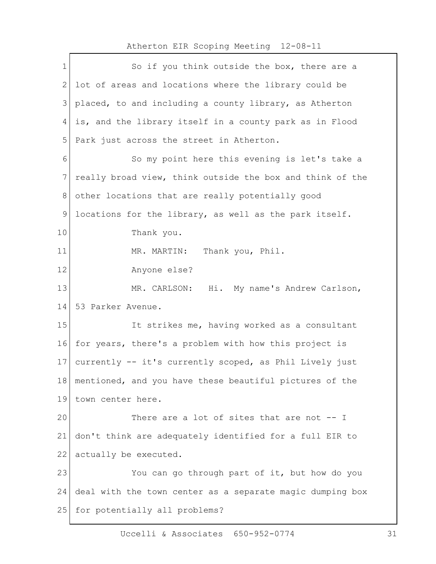| 2<br>lot of areas and locations where the library could be<br>3<br>placed, to and including a county library, as Atherton<br>is, and the library itself in a county park as in Flood<br>4<br>5<br>Park just across the street in Atherton.<br>6<br>So my point here this evening is let's take a<br>$7\phantom{.}$<br>really broad view, think outside the box and think of the<br>8<br>other locations that are really potentially good<br>$\mathsf 9$<br>locations for the library, as well as the park itself.<br>10<br>Thank you.<br>11<br>MR. MARTIN: Thank you, Phil.<br>12<br>Anyone else? |  |
|---------------------------------------------------------------------------------------------------------------------------------------------------------------------------------------------------------------------------------------------------------------------------------------------------------------------------------------------------------------------------------------------------------------------------------------------------------------------------------------------------------------------------------------------------------------------------------------------------|--|
|                                                                                                                                                                                                                                                                                                                                                                                                                                                                                                                                                                                                   |  |
|                                                                                                                                                                                                                                                                                                                                                                                                                                                                                                                                                                                                   |  |
|                                                                                                                                                                                                                                                                                                                                                                                                                                                                                                                                                                                                   |  |
|                                                                                                                                                                                                                                                                                                                                                                                                                                                                                                                                                                                                   |  |
|                                                                                                                                                                                                                                                                                                                                                                                                                                                                                                                                                                                                   |  |
|                                                                                                                                                                                                                                                                                                                                                                                                                                                                                                                                                                                                   |  |
|                                                                                                                                                                                                                                                                                                                                                                                                                                                                                                                                                                                                   |  |
|                                                                                                                                                                                                                                                                                                                                                                                                                                                                                                                                                                                                   |  |
|                                                                                                                                                                                                                                                                                                                                                                                                                                                                                                                                                                                                   |  |
|                                                                                                                                                                                                                                                                                                                                                                                                                                                                                                                                                                                                   |  |
|                                                                                                                                                                                                                                                                                                                                                                                                                                                                                                                                                                                                   |  |
| 13<br>MR. CARLSON: Hi. My name's Andrew Carlson,                                                                                                                                                                                                                                                                                                                                                                                                                                                                                                                                                  |  |
| 14<br>53 Parker Avenue.                                                                                                                                                                                                                                                                                                                                                                                                                                                                                                                                                                           |  |
| 15<br>It strikes me, having worked as a consultant                                                                                                                                                                                                                                                                                                                                                                                                                                                                                                                                                |  |
| for years, there's a problem with how this project is<br>16                                                                                                                                                                                                                                                                                                                                                                                                                                                                                                                                       |  |
| 17<br>currently -- it's currently scoped, as Phil Lively just                                                                                                                                                                                                                                                                                                                                                                                                                                                                                                                                     |  |
| 18<br>mentioned, and you have these beautiful pictures of the                                                                                                                                                                                                                                                                                                                                                                                                                                                                                                                                     |  |
| 19<br>town center here.                                                                                                                                                                                                                                                                                                                                                                                                                                                                                                                                                                           |  |
| 20<br>There are a lot of sites that are not -- I                                                                                                                                                                                                                                                                                                                                                                                                                                                                                                                                                  |  |
| 21<br>don't think are adequately identified for a full EIR to                                                                                                                                                                                                                                                                                                                                                                                                                                                                                                                                     |  |
| 22<br>actually be executed.                                                                                                                                                                                                                                                                                                                                                                                                                                                                                                                                                                       |  |
| 23<br>You can go through part of it, but how do you                                                                                                                                                                                                                                                                                                                                                                                                                                                                                                                                               |  |
| 24<br>deal with the town center as a separate magic dumping box                                                                                                                                                                                                                                                                                                                                                                                                                                                                                                                                   |  |
| 25<br>for potentially all problems?                                                                                                                                                                                                                                                                                                                                                                                                                                                                                                                                                               |  |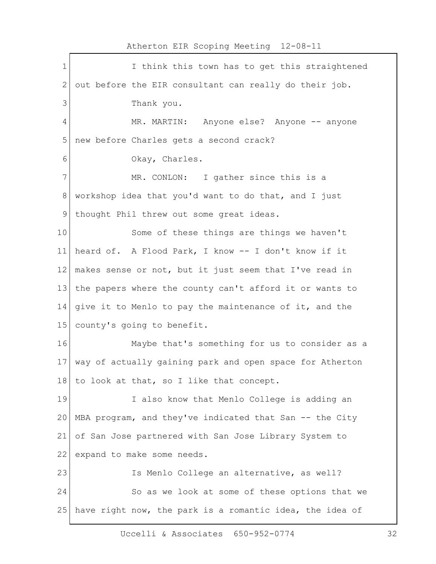|              | Atherton EIR SCOPING Meeting IZ-08-II                    |  |  |
|--------------|----------------------------------------------------------|--|--|
| $\mathbf 1$  | I think this town has to get this straightened           |  |  |
| $\mathbf{2}$ | out before the EIR consultant can really do their job.   |  |  |
| 3            | Thank you.                                               |  |  |
| 4            | MR. MARTIN: Anyone else? Anyone -- anyone                |  |  |
| 5            | new before Charles gets a second crack?                  |  |  |
| 6            | Okay, Charles.                                           |  |  |
| 7            | MR. CONLON: I gather since this is a                     |  |  |
| $8\,$        | workshop idea that you'd want to do that, and I just     |  |  |
| 9            | thought Phil threw out some great ideas.                 |  |  |
| 10           | Some of these things are things we haven't               |  |  |
| 11           | heard of. A Flood Park, I know -- I don't know if it     |  |  |
| 12           | makes sense or not, but it just seem that I've read in   |  |  |
| 13           | the papers where the county can't afford it or wants to  |  |  |
| 14           | give it to Menlo to pay the maintenance of it, and the   |  |  |
| 15           | county's going to benefit.                               |  |  |
| 16           | Maybe that's something for us to consider as a           |  |  |
| 17           | way of actually gaining park and open space for Atherton |  |  |
| 18           | to look at that, so I like that concept.                 |  |  |
| 19           | I also know that Menlo College is adding an              |  |  |
| 20           | MBA program, and they've indicated that San -- the City  |  |  |
| 21           | of San Jose partnered with San Jose Library System to    |  |  |
| 22           | expand to make some needs.                               |  |  |
| 23           | Is Menlo College an alternative, as well?                |  |  |
| 24           | So as we look at some of these options that we           |  |  |
| 25           | have right now, the park is a romantic idea, the idea of |  |  |
|              |                                                          |  |  |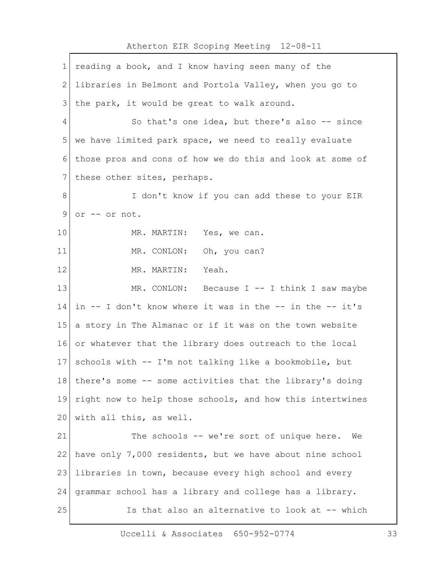| 1            | reading a book, and I know having seen many of the          |  |  |
|--------------|-------------------------------------------------------------|--|--|
| $\mathbf{2}$ | libraries in Belmont and Portola Valley, when you go to     |  |  |
| 3            | the park, it would be great to walk around.                 |  |  |
| 4            | So that's one idea, but there's also -- since               |  |  |
| 5            | we have limited park space, we need to really evaluate      |  |  |
| 6            | those pros and cons of how we do this and look at some of   |  |  |
| 7            | these other sites, perhaps.                                 |  |  |
| 8            | I don't know if you can add these to your EIR               |  |  |
| 9            | or -- or not.                                               |  |  |
| 10           | MR. MARTIN: Yes, we can.                                    |  |  |
| 11           | MR. CONLON: Oh, you can?                                    |  |  |
| 12           | MR. MARTIN:<br>Yeah.                                        |  |  |
| 13           | MR. CONLON: Because $I$ -- I think I saw maybe              |  |  |
| 14           | in $-$ I don't know where it was in the $-$ in the $-$ it's |  |  |
| 15           | a story in The Almanac or if it was on the town website     |  |  |
| 16           | or whatever that the library does outreach to the local     |  |  |
| 17           | schools with -- I'm not talking like a bookmobile, but      |  |  |
| 18           | there's some -- some activities that the library's doing    |  |  |
| 19           | right now to help those schools, and how this intertwines   |  |  |
| 20           | with all this, as well.                                     |  |  |
| 21           | The schools -- we're sort of unique here.<br>We             |  |  |
| 22           | have only 7,000 residents, but we have about nine school    |  |  |
| 23           | libraries in town, because every high school and every      |  |  |
| 24           | grammar school has a library and college has a library.     |  |  |
| 25           | Is that also an alternative to look at -- which             |  |  |
|              |                                                             |  |  |

Uccelli & Associates 650-952-0774 33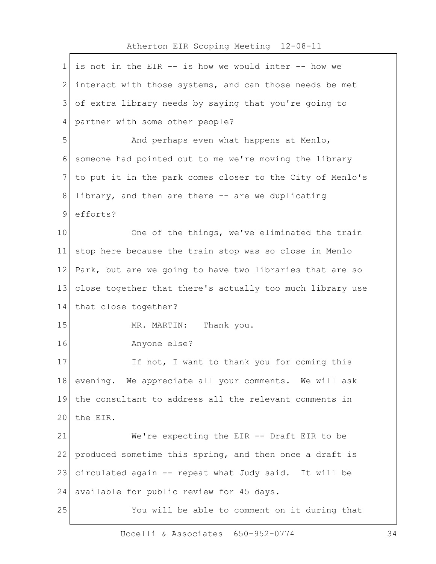## 1 is not in the EIR -- is how we would inter -- how we 2 interact with those systems, and can those needs be met 3 of extra library needs by saying that you're going to 4 partner with some other people? 5 And perhaps even what happens at Menlo, 6 someone had pointed out to me we're moving the library 7 to put it in the park comes closer to the City of Menlo's 8 library, and then are there -- are we duplicating 9 efforts? 10 One of the things, we've eliminated the train 11 stop here because the train stop was so close in Menlo 12 Park, but are we going to have two libraries that are so 13 close together that there's actually too much library use 14 that close together? 15 MR. MARTIN: Thank you. 16 Anyone else? 17 If not, I want to thank you for coming this 18 evening. We appreciate all your comments. We will ask 19 the consultant to address all the relevant comments in 20 the EIR. 21 We're expecting the EIR -- Draft EIR to be 22 produced sometime this spring, and then once a draft is 23 circulated again -- repeat what Judy said. It will be 24 available for public review for 45 days. 25 You will be able to comment on it during that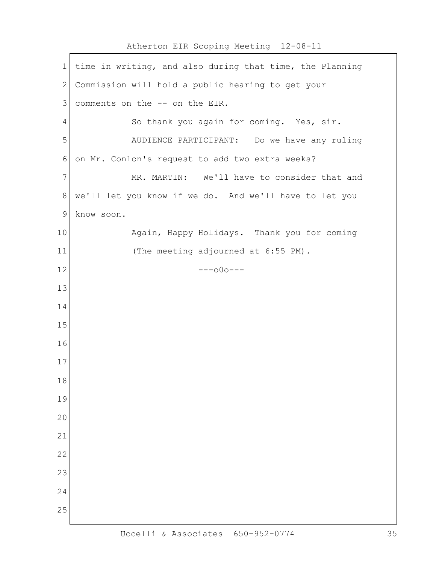| 1            | time in writing, and also during that time, the Planning |  |  |
|--------------|----------------------------------------------------------|--|--|
| $\mathbf{2}$ | Commission will hold a public hearing to get your        |  |  |
| 3            | comments on the -- on the EIR.                           |  |  |
| 4            | So thank you again for coming. Yes, sir.                 |  |  |
| 5            | AUDIENCE PARTICIPANT: Do we have any ruling              |  |  |
| 6            | on Mr. Conlon's request to add two extra weeks?          |  |  |
| 7            | MR. MARTIN: We'll have to consider that and              |  |  |
| $\,8\,$      | we'll let you know if we do. And we'll have to let you   |  |  |
| 9            | know soon.                                               |  |  |
| 10           | Again, Happy Holidays. Thank you for coming              |  |  |
| 11           | (The meeting adjourned at 6:55 PM).                      |  |  |
| 12           | $---000---$                                              |  |  |
| 13           |                                                          |  |  |
| 14           |                                                          |  |  |
| 15           |                                                          |  |  |
| 16           |                                                          |  |  |
| 17           |                                                          |  |  |
| 18           |                                                          |  |  |
| 19           |                                                          |  |  |
| 20           |                                                          |  |  |
| 21           |                                                          |  |  |
| 22           |                                                          |  |  |
| 23           |                                                          |  |  |
| 24           |                                                          |  |  |
| 25           |                                                          |  |  |
|              |                                                          |  |  |

Atherton EIR Scoping Meeting 12-08-11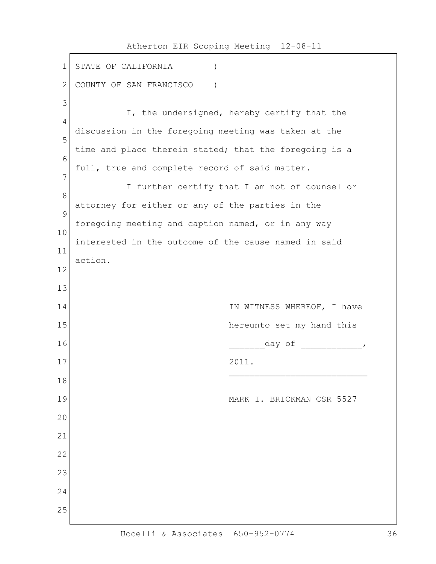1 STATE OF CALIFORNIA (1) 2 COUNTY OF SAN FRANCISCO ) 3 I, the undersigned, hereby certify that the 4 discussion in the foregoing meeting was taken at the 5 time and place therein stated; that the foregoing is a 6 full, true and complete record of said matter. 7 I further certify that I am not of counsel or 8 attorney for either or any of the parties in the 9 foregoing meeting and caption named, or in any way 10 interested in the outcome of the cause named in said 11 action. 12 13 14 IN WITNESS WHEREOF, I have 15 and the set my hand this hereunto set my hand this  $16$   $\frac{1}{2}$   $\frac{1}{2}$   $\frac{1}{2}$   $\frac{1}{2}$   $\frac{1}{2}$   $\frac{1}{2}$   $\frac{1}{2}$   $\frac{1}{2}$   $\frac{1}{2}$   $\frac{1}{2}$   $\frac{1}{2}$   $\frac{1}{2}$   $\frac{1}{2}$   $\frac{1}{2}$   $\frac{1}{2}$   $\frac{1}{2}$   $\frac{1}{2}$   $\frac{1}{2}$   $\frac{1}{2}$   $\frac{1}{2}$   $\frac{1}{2}$   $\frac{1}{$ 17 2011.  $\mathcal{L}_\text{max}$  and the contract of the contract of the contract of the contract of the contract of the contract of the contract of the contract of the contract of the contract of the contract of the contract of the contrac 18 19 MARK I. BRICKMAN CSR 5527 20 21 22 23 24 25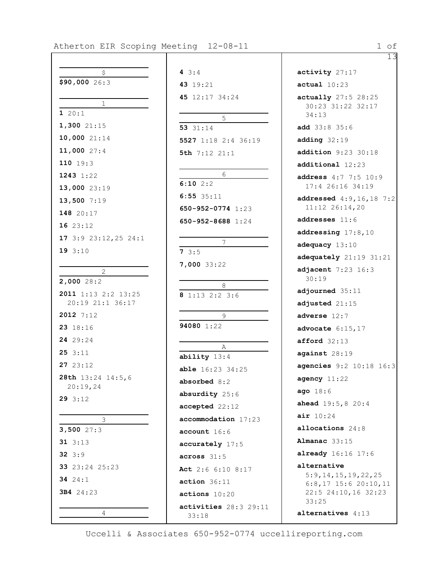13

| Induction Eik Scoping Me     |  |  |  |  |
|------------------------------|--|--|--|--|
|                              |  |  |  |  |
| \$                           |  |  |  |  |
| \$90,00026:3                 |  |  |  |  |
|                              |  |  |  |  |
| 1                            |  |  |  |  |
| 120:1                        |  |  |  |  |
| 1,300 21:15                  |  |  |  |  |
| $10,000$ $21:14$             |  |  |  |  |
| 11,000 27:4                  |  |  |  |  |
| 110 19:3                     |  |  |  |  |
| 1243 1:22                    |  |  |  |  |
| 13,000 23:19                 |  |  |  |  |
| 13,500 7:19                  |  |  |  |  |
| 148 20:17                    |  |  |  |  |
| 16 23:12                     |  |  |  |  |
| 17 3:9 23:12, 25 24:1        |  |  |  |  |
| 193:10                       |  |  |  |  |
|                              |  |  |  |  |
| $\overline{2}$<br>2,000 28:2 |  |  |  |  |
| 2011 1:13 2:2 13:25          |  |  |  |  |
| 20:19 21:1 36:17             |  |  |  |  |
| 2012 7:12                    |  |  |  |  |
| 23 18:16                     |  |  |  |  |
| 24 29:24                     |  |  |  |  |
| 253:11                       |  |  |  |  |
| 27 23:12                     |  |  |  |  |
| 28th 13:24 14:5,6            |  |  |  |  |
| 20:19,24                     |  |  |  |  |
| 293:12                       |  |  |  |  |
|                              |  |  |  |  |
| 3<br>$3,500$ 27:3            |  |  |  |  |
| 31 $3:13$                    |  |  |  |  |
| $32 \t3:9$                   |  |  |  |  |
| 33 23:24 25:23               |  |  |  |  |
| 34 $24:1$                    |  |  |  |  |
| 3B4 24:23                    |  |  |  |  |
|                              |  |  |  |  |
| 4                            |  |  |  |  |

| 4 $3:4$                 |
|-------------------------|
| 43 19:21                |
| 45 12:17 34:24          |
|                         |
| 5                       |
| 53 31:14                |
| 5527 1:18 2:4 36:19     |
| 5th $7:12$ $21:1$       |
|                         |
| 6<br>$6:10$ $2:2$       |
| 6:553:11                |
| 650-952-0774 1:23       |
| $650 - 952 - 8688$ 1:24 |
|                         |
| 7                       |
| 73:5                    |
| 7,000 33:22             |
|                         |
| 8                       |
| 8 1:13 2:2 3:6          |
| 9                       |
| 94080 1:22              |
|                         |
| $\mathbb A$             |
| ability 13:4            |
| <b>able</b> 16:23 34:25 |
| absorbed 8:2            |
| absurdity 25:6          |
| accepted 22:12          |
| accommodation 17:23     |
| account 16:6            |
| accurately 17:5         |
| across 31:5             |
| Act 2:6 6:10 8:17       |
| action 36:11            |
| actions 10:20           |
| activities 28:3 29:11   |
|                         |

**activity** 27:17 **actual** 10:23 **actually** 27:5 28:25 30:23 31:22 32:17 34:13 **add** 33:8 35:6 **adding** 32:19 **addition** 9:23 30:18 **additional** 12:23 **address** 4:7 7:5 10:9 17:4 26:16 34:19 **addressed** 4:9,16,18 7:2 11:12 26:14,20 **addresses** 11:6 **addressing** 17:8,10 **adequacy** 13:10 **adequately** 21:19 31:21 **adjacent** 7:23 16:3 30:19 **adjourned** 35:11 **adjusted** 21:15 **adverse** 12:7 **advocate** 6:15,17 **afford** 32:13 **against** 28:19 **agencies** 9:2 10:18 16:3 **agency** 11:22 **ago** 18:6 **ahead** 19:5,8 20:4 **air** 10:24 **allocations** 24:8 **Almanac** 33:15 **already** 16:16 17:6 **alternative** 5:9,14,15,19,22,25 6:8,17 15:6 20:10,11 22:5 24:10,16 32:23 33:25 **alternatives** 4:13

Uccelli & Associates 650-952-0774 uccellireporting.com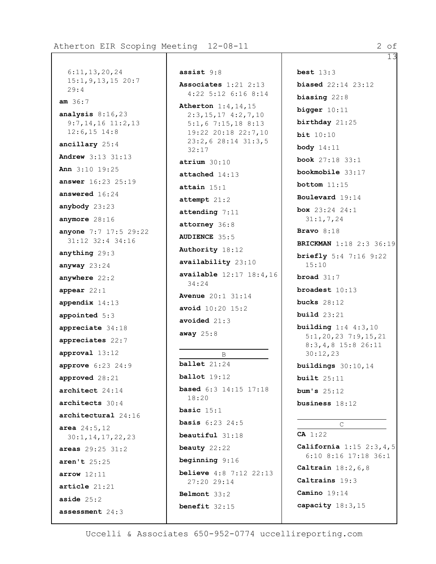6:11,13,20,24 15:1,9,13,15 20:7 29:4 **am** 36:7 **analysis** 8:16,23 9:7,14,16 11:2,13 12:6,15 14:8 **ancillary** 25:4 **Andrew** 3:13 31:13 **Ann** 3:10 19:25 **answer** 16:23 25:19 **answered** 16:24 **anybody** 23:23 **anymore** 28:16 **anyone** 7:7 17:5 29:22 31:12 32:4 34:16 **anything** 29:3 **anyway** 23:24 **anywhere** 22:2 **appear** 22:1 **appendix** 14:13 **appointed** 5:3 **appreciate** 34:18 **appreciates** 22:7 **approval** 13:12 **approve** 6:23 24:9 **approved** 28:21 **architect** 24:14 **architects** 30:4 **architectural** 24:16 **area** 24:5,12 30:1,14,17,22,23 **areas** 29:25 31:2 **aren't** 25:25 **arrow** 12:11 **article** 21:21 **aside** 25:2 **assessment** 24:3

**assist** 9:8 **Associates** 1:21 2:13 4:22 5:12 6:16 8:14 **Atherton** 1:4,14,15 2:3,15,17 4:2,7,10 5:1,6 7:15,18 8:13 19:22 20:18 22:7,10 23:2,6 28:14 31:3,5 32:17 **atrium** 30:10 **attached** 14:13 **attain** 15:1 **attempt** 21:2 **attending** 7:11 **attorney** 36:8 **AUDIENCE** 35:5 **Authority** 18:12 **availability** 23:10 **available** 12:17 18:4,16 34:24 **Avenue** 20:1 31:14 **avoid** 10:20 15:2 **avoided** 21:3 **away** 25:8 B **ballet** 21:24

**ballot** 19:12 **based** 6:3 14:15 17:18 18:20 **basic** 15:1 **basis** 6:23 24:5 **beautiful** 31:18 **beauty** 22:22 **beginning** 9:16 **believe** 4:8 7:12 22:13 27:20 29:14 **Belmont** 33:2 **benefit** 32:15

**best** 13:3 **biased** 22:14 23:12 **biasing** 22:8 **bigger** 10:11 **birthday** 21:25 **bit** 10:10 **body** 14:11 **book** 27:18 33:1 **bookmobile** 33:17 **bottom** 11:15 **Boulevard** 19:14 **box** 23:24 24:1 31:1,7,24 **Bravo** 8:18 **BRICKMAN** 1:18 2:3 36:19 **briefly** 5:4 7:16 9:22 15:10 **broad** 31:7 **broadest** 10:13 **bucks** 28:12 **build** 23:21 **building** 1:4 4:3,10 5:1,20,23 7:9,15,21 8:3,4,8 15:8 26:11 30:12,23 **buildings** 30:10,14 **built** 25:11 **bum's** 25:12 **business** 18:12 C

**CA** 1:22 **California** 1:15 2:3,4,5 6:10 8:16 17:18 36:1 **Caltrain** 18:2,6,8 **Caltrains** 19:3 **Camino** 19:14 **capacity** 18:3,15

Uccelli & Associates 650-952-0774 uccellireporting.com

13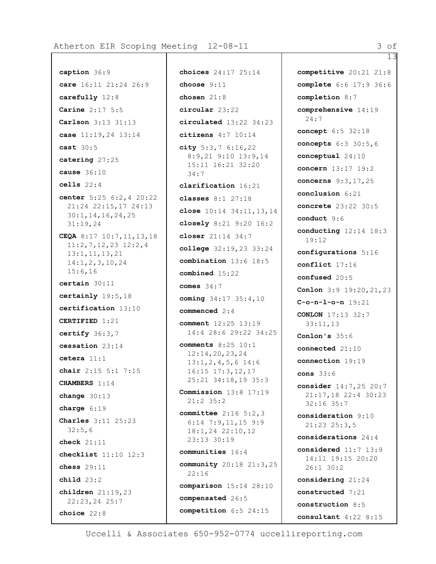Atherton EIR Scoping Meeting 12-08-11 3 3 3 3 3 3 3 3 4

```
caption 36:9
care 16:11 21:24 26:9
carefully 12:8
Carine 2:17 5:5
Carlson 3:13 31:13
case 11:19,24 13:14
cast 30:5
catering 27:25
cause 36:10
cells 22:4
center 5:25 6:2,4 20:22
  21:24 22:15,17 24:13
  30:1,14,16,24,25
 31:19,24
CEQA 8:17 10:7,11,13,18
 11:2,7,12,23 12:2,4
 13:1,11,13,21
  14:1,2,3,10,24
 15:6,16
certain 30:11
certainly 19:5,18
certification 13:10
CERTIFIED 1:21
certify 36:3,7
cessation 23:14
cetera 11:1
chair 2:15 5:1 7:15
CHAMBERS 1:14
change 30:13
charge 6:19
Charles 3:11 25:23
  32:5,6
check 21:11
checklist 11:10 12:3
chess 29:11
child 23:2
children 21:19,23
  22:23,24 25:7
choice 22:8
```
**choices** 24:17 25:14 **choose** 9:11 **chosen** 21:8 **circular** 23:22 **circulated** 13:22 34:23 **citizens** 4:7 10:14 **city** 5:3,7 6:16,22 8:9,21 9:10 13:9,14 15:11 16:21 32:20 34:7 **clarification** 16:21 **classes** 8:1 27:18 **close** 10:14 34:11,13,14 **closely** 8:21 9:20 16:2 **closer** 21:14 34:7 **college** 32:19,23 33:24 **combination** 13:6 18:5 **combined** 15:22 **comes** 34:7 **coming** 34:17 35:4,10 **commenced** 2:4 **comment** 12:25 13:19 14:4 28:6 29:22 34:25 **comments** 8:25 10:1 12:14,20,23,24 13:1,2,4,5,6 14:6 16:15 17:3,12,17 25:21 34:18,19 35:3 **Commission** 13:8 17:19 21:2 35:2 **committee** 2:16 5:2,3 6:14 7:9,11,15 9:9 18:1,24 22:10,12 23:13 30:19 **communities** 16:4 **community** 20:18 21:3,25 22:16 **comparison** 15:14 28:10 **compensated** 26:5 **competition** 6:5 24:15

**competitive** 20:21 21:8 **complete** 6:6 17:9 36:6 **completion** 8:7 **comprehensive** 14:19 24:7 **concept** 6:5 32:18 **concepts** 6:3 30:5,6 **conceptual** 24:10 **concern** 13:17 19:2 **concerns** 9:3,17,25 **conclusion** 6:21 **concrete** 23:22 30:5 **conduct** 9:6 **conducting** 12:14 18:3 19:12 **configurations** 5:16 **conflict** 17:16 **confused** 20:5 **Conlon** 3:9 19:20,21,23 **C-o-n-l-o-n** 19:21 **CONLON** 17:13 32:7 33:11,13 **Conlon's** 35:6 **connected** 21:10 **connection** 19:19 **cons** 33:6 **consider** 14:7,25 20:7 21:17,18 22:4 30:23 32:16 35:7 **consideration** 9:10 21:23 25:3,5 **considerations** 24:4 **considered** 11:7 13:9 14:11 19:15 20:20 26:1 30:2 **considering** 21:24 **constructed** 7:21 **construction** 8:5 **consultant** 4:22 8:15

Uccelli & Associates 650-952-0774 uccellireporting.com

13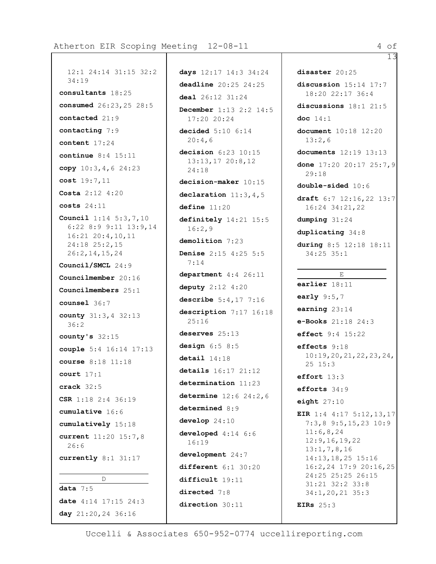```
12:1 24:14 31:15 32:2
  34:19
consultants 18:25
consumed 26:23,25 28:5
contacted 21:9
contacting 7:9
content 17:24
continue 8:4 15:11
copy 10:3,4,6 24:23
cost 19:7,11
Costa 2:12 4:20
costs 24:11
Council 1:14 5:3,7,10
 6:22 8:9 9:11 13:9,14
 16:21 20:4,10,11
  24:18 25:2,15
  26:2,14,15,24
Council/SMCL 24:9
Councilmember 20:16
Councilmembers 25:1
counsel 36:7
county 31:3,4 32:13
 36:2
county's 32:15
couple 5:4 16:14 17:13
course 8:18 11:18
court 17:1
crack 32:5
CSR 1:18 2:4 36:19
cumulative 16:6
cumulatively 15:18
current 11:20 15:7,8
  26:6
currently 8:1 31:17
          D
data 7:5
date 4:14 17:15 24:3
day 21:20,24 36:16
```
**days** 12:17 14:3 34:24 **deadline** 20:25 24:25 **deal** 26:12 31:24 **December** 1:13 2:2 14:5 17:20 20:24 **decided** 5:10 6:14 20:4,6 **decision** 6:23 10:15 13:13,17 20:8,12 24:18 **decision-maker** 10:15 **declaration** 11:3,4,5 **define** 11:20 **definitely** 14:21 15:5 16:2,9 **demolition** 7:23 **Denise** 2:15 4:25 5:5 7:14 **department** 4:4 26:11 **deputy** 2:12 4:20 **describe** 5:4,17 7:16 **description** 7:17 16:18 25:16 **deserves** 25:13 **design** 6:5 8:5 **detail** 14:18 **details** 16:17 21:12 **determination** 11:23 **determine** 12:6 24:2,6 **determined** 8:9 **develop** 24:10 **developed** 4:14 6:6 16:19 **development** 24:7 **different** 6:1 30:20 **difficult** 19:11 **directed** 7:8 **direction** 30:11

13 **disaster** 20:25 **discussion** 15:14 17:7 18:20 22:17 36:4 **discussions** 18:1 21:5 **doc** 14:1 **document** 10:18 12:20 13:2,6 **documents** 12:19 13:13 **done** 17:20 20:17 25:7,9 29:18 **double-sided** 10:6 **draft** 6:7 12:16,22 13:7 16:24 34:21,22 **dumping** 31:24 **duplicating** 34:8 **during** 8:5 12:18 18:11 34:25 35:1 E **earlier** 18:11 **early** 9:5,7 **earning** 23:14 **e-Books** 21:18 24:3 **effect** 9:4 15:22 **effects** 9:18 10:19,20,21,22,23,24, 25 15:3 **effort** 13:3 **efforts** 34:9 **eight** 27:10 **EIR** 1:4 4:17 5:12,13,17 7:3,8 9:5,15,23 10:9 11:6,8,24 12:9,16,19,22 13:1,7,8,16 14:13,18,25 15:16 16:2,24 17:9 20:16,25 24:25 25:25 26:15 31:21 32:2 33:8 34:1,20,21 35:3 **EIRs** 25:3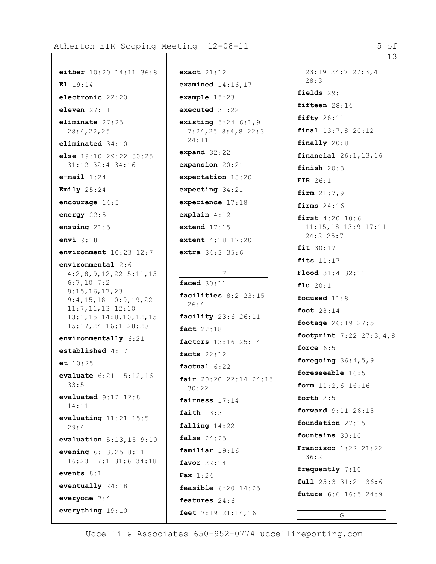**either** 10:20 14:11 36:8

**else** 19:10 29:22 30:25 31:12 32:4 34:16

**environment** 10:23 12:7

4:2,8,9,12,22 5:11,15

9:4,15,18 10:9,19,22 11:7,11,13 12:10 13:1,15 14:8,10,12,15 15:17,24 16:1 28:20 **environmentally** 6:21

**environmental** 2:6

6:7,10 7:2 8:15,16,17,23

**established** 4:17

**evaluate** 6:21 15:12,16

**evaluated** 9:12 12:8

**evaluating** 11:21 15:5

**evaluation** 5:13,15 9:10 **evening** 6:13,25 8:11 16:23 17:1 31:6 34:18

**et** 10:25

33:5

14:11

29:4

**events** 8:1

**everyone** 7:4

**eventually** 24:18

**everything** 19:10

**El** 19:14

**electronic** 22:20

**eleven** 27:11 **eliminate** 27:25 28:4,22,25 **eliminated** 34:10

**e-mail** 1:24 **Emily** 25:24

**encourage** 14:5 **energy** 22:5 **ensuing** 21:5 **envi** 9:18

```
exact 21:12
examined 14:16,17
example 15:23
executed 31:22
existing 5:24 6:1,9
  7:24,25 8:4,8 22:3
  24:11
expand 32:22
expansion 20:21
expectation 18:20
expecting 34:21
experience 17:18
explain 4:12
extend 17:15
extent 4:18 17:20
extra 34:3 35:6
          F
faced 30:11
facilities 8:2 23:15
  26:4
facility 23:6 26:11
fact 22:18
factors 13:16 25:14
facts 22:12
factual 6:22
fair 20:20 22:14 24:15
  30:22
fairness 17:14
faith 13:3
falling 14:22
false 24:25
familiar 19:16
favor 22:14
Fax 1:24
feasible 6:20 14:25
features 24:6
feet 7:19 21:14,16
```
13 23:19 24:7 27:3,4 28:3 **fields** 29:1 **fifteen** 28:14 **fifty** 28:11 **final** 13:7,8 20:12 **finally** 20:8 **financial** 26:1,13,16 **finish** 20:3 **FIR** 26:1 **firm** 21:7,9 **firms** 24:16 **first** 4:20 10:6 11:15,18 13:9 17:11 24:2 25:7 **fit** 30:17 **fits** 11:17 **Flood** 31:4 32:11 **flu** 20:1 **focused** 11:8 **foot** 28:14 **footage** 26:19 27:5 **footprint** 7:22 27:3,4,8 **force** 6:5 **foregoing** 36:4,5,9 **foreseeable** 16:5 **form** 11:2,6 16:16 **forth** 2:5 **forward** 9:11 26:15 **foundation** 27:15 **fountains** 30:10 **Francisco** 1:22 21:22 36:2 **frequently** 7:10 **full** 25:3 31:21 36:6 **future** 6:6 16:5 24:9 G

Uccelli & Associates 650-952-0774 uccellireporting.com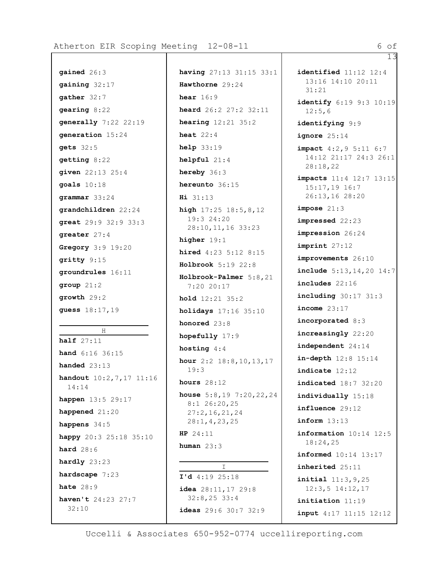```
gained 26:3
gaining 32:17
gather 32:7
gearing 8:22
generally 7:22 22:19
generation 15:24
gets 32:5
getting 8:22
given 22:13 25:4
goals 10:18
grammar 33:24
grandchildren 22:24
great 29:9 32:9 33:3
greater 27:4
Gregory 3:9 19:20
gritty 9:15
groundrules 16:11
group 21:2
growth 29:2
guess 18:17,19
          H
half 27:11
hand 6:16 36:15
handed 23:13
handout 10:2,7,17 11:16
  14:14
happen 13:5 29:17
happened 21:20
happens 34:5
happy 20:3 25:18 35:10
hard 28:6
hardly 23:23
hardscape 7:23
hate 28:9
haven't 24:23 27:7
  32:10
```
**having** 27:13 31:15 33:1 **Hawthorne** 29:24 **hear** 16:9 **heard** 26:2 27:2 32:11 **hearing** 12:21 35:2 **heat** 22:4 **help** 33:19 **helpful** 21:4 **hereby** 36:3 **hereunto** 36:15 **Hi** 31:13 **high** 17:25 18:5,8,12 19:3 24:20 28:10,11,16 33:23 **higher** 19:1 **hired** 4:23 5:12 8:15 **Holbrook** 5:19 22:8 **Holbrook-Palmer** 5:8,21 7:20 20:17 **hold** 12:21 35:2 **holidays** 17:16 35:10 **honored** 23:8 **hopefully** 17:9 **hosting** 4:4 **hour** 2:2 18:8,10,13,17 19:3 **hours** 28:12 **house** 5:8,19 7:20,22,24 8:1 26:20,25 27:2,16,21,24 28:1,4,23,25 **HP** 24:11 **human** 23:3  $\top$ **I'd** 4:19 25:18

**identified** 11:12 12:4 13:16 14:10 20:11 31:21 **identify** 6:19 9:3 10:19 12:5,6 **identifying** 9:9 **ignore** 25:14 **impact** 4:2,9 5:11 6:7 14:12 21:17 24:3 26:1 28:18,22 **impacts** 11:4 12:7 13:15 15:17,19 16:7 26:13,16 28:20 **impose** 21:3 **impressed** 22:23 **impression** 26:24 **imprint** 27:12 **improvements** 26:10 **include** 5:13,14,20 14:7 **includes** 22:16 **including** 30:17 31:3 **income** 23:17 **incorporated** 8:3 **increasingly** 22:20 **independent** 24:14 **in-depth** 12:8 15:14 **indicate** 12:12 **indicated** 18:7 32:20 **individually** 15:18 **influence** 29:12 **inform** 13:13 **information** 10:14 12:5 18:24,25 **informed** 10:14 13:17 **inherited** 25:11 **initial** 11:3,9,25 12:3,5 14:12,17 **initiation** 11:19 **input** 4:17 11:15 12:12

Uccelli & Associates 650-952-0774 uccellireporting.com

**ideas** 29:6 30:7 32:9

**idea** 28:11,17 29:8 32:8,25 33:4

13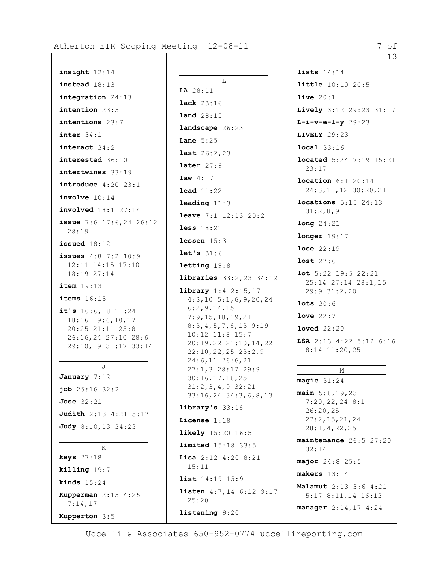**insight** 12:14 **instead** 18:13 **integration** 24:13 **intention** 23:5 **intentions** 23:7 **inter** 34:1 **interact** 34:2 **interested** 36:10 **intertwines** 33:19 **introduce** 4:20 23:1 **involve** 10:14 **involved** 18:1 27:14 **issue** 7:6 17:6,24 26:12 28:19 **issued** 18:12 **issues** 4:8 7:2 10:9 12:11 14:15 17:10 18:19 27:14 **item** 19:13 **items** 16:15 **it's** 10:6,18 11:24 18:16 19:6,10,17 20:25 21:11 25:8 26:16,24 27:10 28:6 29:10,19 31:17 33:14 J **January** 7:12 **job** 25:16 32:2 **Jose** 32:21 **Judith** 2:13 4:21 5:17 **Judy** 8:10,13 34:23 K **keys** 27:18 **killing** 19:7 **kinds** 15:24

**Kupperman** 2:15 4:25

7:14,17 **Kupperton** 3:5

 $\mathbb L$ **LA** 28:11 **lack** 23:16 **land** 28:15 **landscape** 26:23 **Lane** 5:25 **last** 26:2,23 **later** 27:9 **law** 4:17 **lead** 11:22 **leading** 11:3 **leave** 7:1 12:13 20:2 **less** 18:21 **lessen** 15:3 **let's** 31:6 **letting** 19:8 **libraries** 33:2,23 34:12 **library** 1:4 2:15,17 4:3,10 5:1,6,9,20,24 6:2,9,14,15 7:9,15,18,19,21 8:3,4,5,7,8,13 9:19 10:12 11:8 15:7 20:19,22 21:10,14,22 22:10,22,25 23:2,9 24:6,11 26:6,21 27:1,3 28:17 29:9 30:16,17,18,25 31:2,3,4,9 32:21 33:16,24 34:3,6,8,13 **library's** 33:18 **License** 1:18 **likely** 15:20 16:5 **limited** 15:18 33:5 **Lisa** 2:12 4:20 8:21 15:11 **list** 14:19 15:9 **listen** 4:7,14 6:12 9:17 25:20 **listening** 9:20

13 **lists** 14:14 **little** 10:10 20:5 **live** 20:1 **Lively** 3:12 29:23 31:17 **L-i-v-e-l-y** 29:23 **LIVELY** 29:23 **local** 33:16 **located** 5:24 7:19 15:21 23:17 **location** 6:1 20:14 24:3,11,12 30:20,21 **locations** 5:15 24:13 31:2,8,9 **long** 24:21 **longer** 19:17 **lose** 22:19 **lost** 27:6 **lot** 5:22 19:5 22:21 25:14 27:14 28:1,15 29:9 31:2,20 **lots** 30:6 **love** 22:7 **loved** 22:20 **LSA** 2:13 4:22 5:12 6:16 8:14 11:20,25 M **magic** 31:24 **main** 5:8,19,23 7:20,22,24 8:1 26:20,25 27:2,15,21,24 28:1,4,22,25 **maintenance** 26:5 27:20 32:14 **major** 24:8 25:5 **makers** 13:14 **Malamut** 2:13 3:6 4:21 5:17 8:11,14 16:13 **manager** 2:14,17 4:24

Uccelli & Associates 650-952-0774 uccellireporting.com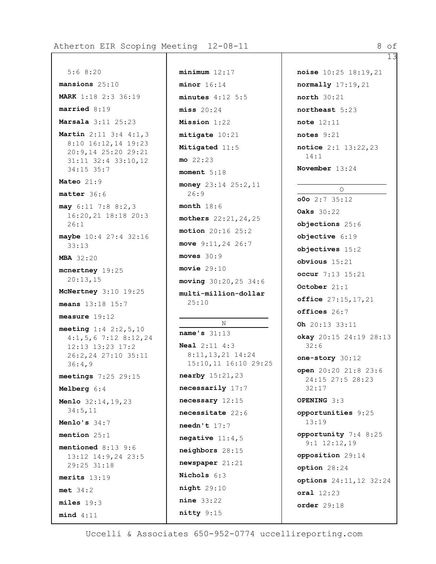13

```
5:6 8:20
mansions 25:10
MARK 1:18 2:3 36:19
married 8:19
Marsala 3:11 25:23
Martin 2:11 3:4 4:1,3
  8:10 16:12,14 19:23
  20:9,14 25:20 29:21
  31:11 32:4 33:10,12
  34:15 35:7
Mateo 21:9
matter 36:6
may 6:11 7:8 8:2,3
 16:20,21 18:18 20:3
  26:1
maybe 10:4 27:4 32:16
  33:13
MBA 32:20
mcnertney 19:25
  20:13,15
McNertney 3:10 19:25
means 13:18 15:7
measure 19:12
meeting 1:4 2:2,5,10
  4:1,5,6 7:12 8:12,24
  12:13 13:23 17:2
  26:2,24 27:10 35:11
  36:4,9
meetings 7:25 29:15
Melberg 6:4
Menlo 32:14,19,23
  34:5,11
Menlo's 34:7
mention 25:1
mentioned 8:13 9:6
 13:12 14:9,24 23:5
  29:25 31:18
merits 13:19
met 34:2
miles 19:3
mind 4:11
```

```
minimum 12:17
minor 16:14
minutes 4:12 5:5
miss 20:24
Mission 1:22
mitigate 10:21
Mitigated 11:5
mo 22:23
moment 5:18
money 23:14 25:2,11
  26:9
month 18:6
mothers 22:21,24,25
motion 20:16 25:2
move 9:11,24 26:7
moves 30:9
movie 29:10
moving 30:20,25 34:6
multi-million-dollar
 25:10
          N
name's 31:13
Neal 2:11 4:3
  8:11,13,21 14:24
 15:10,11 16:10 29:25
nearby 15:21,23
necessarily 17:7
necessary 12:15
necessitate 22:6
needn't 17:7
negative 11:4,5
neighbors 28:15
newspaper 21:21
Nichols 6:3
night 29:10
nine 33:22
nitty 9:15
```

```
noise 10:25 18:19,21
normally 17:19,21
north 30:21
northeast 5:23
note 12:11
notes 9:21
notice 2:1 13:22,23
 14:1
November 13:24
          O
o0o 2:7 35:12
Oaks 30:22
objections 25:6
objective 6:19
objectives 15:2
obvious 15:21
occur 7:13 15:21
October 21:1
office 27:15,17,21
offices 26:7
Oh 20:13 33:11
okay 20:15 24:19 28:13
  32:6
one-story 30:12
open 20:20 21:8 23:6
 24:15 27:5 28:23
 32:17
OPENING 3:3
opportunities 9:25
 13:19
opportunity 7:4 8:25
  9:1 12:12,19
opposition 29:14
option 28:24
options 24:11,12 32:24
oral 12:23
order 29:18
```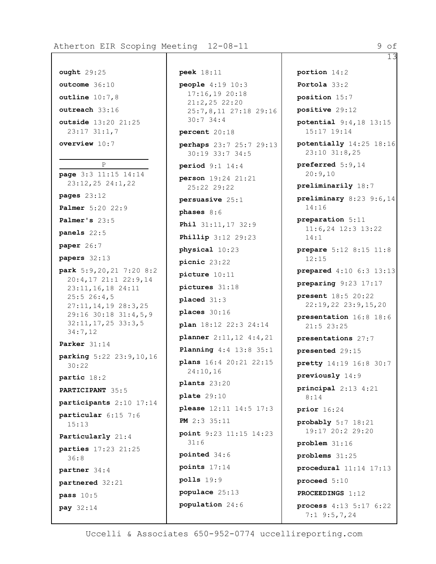13

## **ought** 29:25 **outcome** 36:10 **outline** 10:7,8 **outreach** 33:16 **outside** 13:20 21:25 23:17 31:1,7 **overview** 10:7 P **page** 3:3 11:15 14:14 23:12,25 24:1,22 **pages** 23:12 **Palmer** 5:20 22:9 **Palmer's** 23:5 **panels** 22:5 **paper** 26:7 **papers** 32:13 **park** 5:9,20,21 7:20 8:2 20:4,17 21:1 22:9,14 23:11,16,18 24:11 25:5 26:4,5 27:11,14,19 28:3,25 29:16 30:18 31:4,5,9 32:11,17,25 33:3,5 34:7,12 **Parker** 31:14 **parking** 5:22 23:9,10,16 30:22 **partic** 18:2 **PARTICIPANT** 35:5 **participants** 2:10 17:14 **particular** 6:15 7:6 15:13 **Particularly** 21:4 **parties** 17:23 21:25 36:8 **partner** 34:4 **partnered** 32:21 **pass** 10:5

**pay** 32:14

**peek** 18:11 **people** 4:19 10:3 17:16,19 20:18 21:2,25 22:20 25:7,8,11 27:18 29:16 30:7 34:4 **percent** 20:18 **perhaps** 23:7 25:7 29:13 30:19 33:7 34:5 **period** 9:1 14:4 **person** 19:24 21:21 25:22 29:22 **persuasive** 25:1 **phases** 8:6 **Phil** 31:11,17 32:9 **Phillip** 3:12 29:23 **physical** 10:23 **picnic** 23:22 **picture** 10:11 **pictures** 31:18 **placed** 31:3 **places** 30:16 **plan** 18:12 22:3 24:14 **planner** 2:11,12 4:4,21 **Planning** 4:4 13:8 35:1 **plans** 16:4 20:21 22:15 24:10,16 **plants** 23:20 **plate** 29:10 **please** 12:11 14:5 17:3 **PM** 2:3 35:11 **point** 9:23 11:15 14:23 31:6 **pointed** 34:6 **points** 17:14 **polls** 19:9 **populace** 25:13 **population** 24:6

**portion** 14:2 **Portola** 33:2 **position** 15:7 **positive** 29:12 **potential** 9:4,18 13:15 15:17 19:14 **potentially** 14:25 18:16 23:10 31:8,25 **preferred** 5:9,14 20:9,10 **preliminarily** 18:7 **preliminary** 8:23 9:6,14 14:16 **preparation** 5:11 11:6,24 12:3 13:22 14:1 **prepare** 5:12 8:15 11:8 12:15 **prepared** 4:10 6:3 13:13 **preparing** 9:23 17:17 **present** 18:5 20:22 22:19,22 23:9,15,20 **presentation** 16:8 18:6 21:5 23:25 **presentations** 27:7 **presented** 29:15 **pretty** 14:19 16:8 30:7 **previously** 14:9 **principal** 2:13 4:21 8:14 **prior** 16:24 **probably** 5:7 18:21 19:17 20:2 29:20 **problem** 31:16 **problems** 31:25 **procedural** 11:14 17:13 **proceed** 5:10 **PROCEEDINGS** 1:12 **process** 4:13 5:17 6:22 7:1 9:5,7,24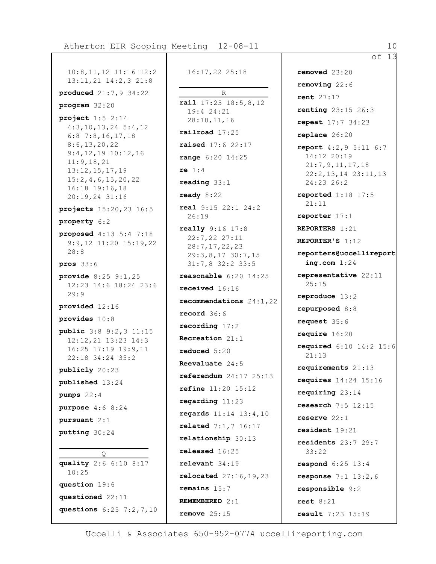10:8,11,12 11:16 12:2 13:11,21 14:2,3 21:8 **produced** 21:7,9 34:22 **program** 32:20 **project** 1:5 2:14 4:3,10,13,24 5:4,12 6:8 7:8,16,17,18 8:6,13,20,22 9:4,12,19 10:12,16 11:9,18,21 13:12,15,17,19 15:2,4,6,15,20,22 16:18 19:16,18 20:19,24 31:16 **projects** 15:20,23 16:5 **property** 6:2 **proposed** 4:13 5:4 7:18 9:9,12 11:20 15:19,22 28:8 **pros** 33:6 **provide** 8:25 9:1,25 12:23 14:6 18:24 23:6 29:9 **provided** 12:16 **provides** 10:8 **public** 3:8 9:2,3 11:15 12:12,21 13:23 14:3 16:25 17:19 19:9,11 22:18 34:24 35:2 **publicly** 20:23 **published** 13:24 **pumps** 22:4 **purpose** 4:6 8:24 **pursuant** 2:1 **putting** 30:24  $\bigcap$ **quality** 2:6 6:10 8:17 10:25 **question** 19:6 **questioned** 22:11 **questions** 6:25 7:2,7,10

16:17,22 25:18

R **rail** 17:25 18:5,8,12 19:4 24:21 28:10,11,16 **railroad** 17:25 **raised** 17:6 22:17 **range** 6:20 14:25 **re** 1:4 **reading** 33:1 **ready** 8:22 **real** 9:15 22:1 24:2 26:19 **really** 9:16 17:8 22:7,22 27:11 28:7,17,22,23 29:3,8,17 30:7,15 31:7,8 32:2 33:5 **reasonable** 6:20 14:25 **received** 16:16 **recommendations** 24:1,22 **record** 36:6 **recording** 17:2 **Recreation** 21:1 **reduced** 5:20 **Reevaluate** 24:5 **referendum** 24:17 25:13 **refine** 11:20 15:12 **regarding** 11:23 **regards** 11:14 13:4,10 **related** 7:1,7 16:17 **relationship** 30:13 **released** 16:25 **relevant** 34:19 **relocated** 27:16,19,23 **remains** 15:7 **REMEMBERED** 2:1 **remove** 25:15

of 13 **removed** 23:20 **removing** 22:6 **rent** 27:17 **renting** 23:15 26:3 **repeat** 17:7 34:23 **replace** 26:20 **report** 4:2,9 5:11 6:7 14:12 20:19 21:7,9,11,17,18 22:2,13,14 23:11,13 24:23 26:2 **reported** 1:18 17:5 21:11 **reporter** 17:1 **REPORTERS** 1:21 **REPORTER'S** 1:12 **reporters@uccellireport ing.com** 1:24 **representative** 22:11 25:15 **reproduce** 13:2 **repurposed** 8:8 **request** 35:6 **require** 16:20 **required** 6:10 14:2 15:6 21:13 **requirements** 21:13 **requires** 14:24 15:16 **requiring** 23:14 **research** 7:5 12:15 **reserve** 22:1 **resident** 19:21 **residents** 23:7 29:7 33:22 **respond** 6:25 13:4 **response** 7:1 13:2,6 **responsible** 9:2 **rest** 8:21 **result** 7:23 15:19

Uccelli & Associates 650-952-0774 uccellireporting.com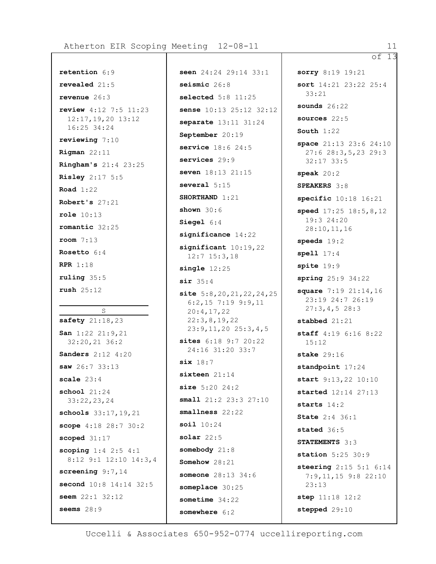```
retention 6:9
revealed 21:5
revenue 26:3
review 4:12 7:5 11:23
 12:17,19,20 13:12
  16:25 34:24
reviewing 7:10
Rigman 22:11
Ringham's 21:4 23:25
Risley 2:17 5:5
Road 1:22
Robert's 27:21
role 10:13
romantic 32:25
room 7:13
Rosetto 6:4
RPR 1:18
ruling 35:5
rush 25:12
          S
safety 21:18,23
San 1:22 21:9,21
 32:20,21 36:2
Sanders 2:12 4:20
saw 26:7 33:13
scale 23:4
school 21:24
 33:22,23,24
schools 33:17,19,21
scope 4:18 28:7 30:2
scoped 31:17
scoping 1:4 2:5 4:1
 8:12 9:1 12:10 14:3,4
screening 9:7,14
second 10:8 14:14 32:5
seem 22:1 32:12
seems 28:9
```
**seen** 24:24 29:14 33:1 **seismic** 26:8 **selected** 5:8 11:25 **sense** 10:13 25:12 32:12 **separate** 13:11 31:24 **September** 20:19 **service** 18:6 24:5 **services** 29:9 **seven** 18:13 21:15 **several** 5:15 **SHORTHAND** 1:21 **shown** 30:6 **Siegel** 6:4 **significance** 14:22 **significant** 10:19,22 12:7 15:3,18 **single** 12:25 **sir** 35:4 **site** 5:8,20,21,22,24,25 6:2,15 7:19 9:9,11 20:4,17,22 22:3,8,19,22 23:9,11,20 25:3,4,5 **sites** 6:18 9:7 20:22 24:16 31:20 33:7 **six** 18:7 **sixteen** 21:14 **size** 5:20 24:2 **small** 21:2 23:3 27:10 **smallness** 22:22 **soil** 10:24 **solar** 22:5 **somebody** 21:8 **Somehow** 28:21 **someone** 28:13 34:6 **someplace** 30:25 **sometime** 34:22 **somewhere** 6:2

of 13 **sorry** 8:19 19:21 **sort** 14:21 23:22 25:4 33:21 **sounds** 26:22 **sources** 22:5 **South** 1:22 **space** 21:13 23:6 24:10 27:6 28:3,5,23 29:3 32:17 33:5 **speak** 20:2 **SPEAKERS** 3:8 **specific** 10:18 16:21 **speed** 17:25 18:5,8,12 19:3 24:20 28:10,11,16 **speeds** 19:2 **spell** 17:4 **spite** 19:9 **spring** 25:9 34:22 **square** 7:19 21:14,16 23:19 24:7 26:19 27:3,4,5 28:3 **stabbed** 21:21 **staff** 4:19 6:16 8:22 15:12 **stake** 29:16 **standpoint** 17:24 **start** 9:13,22 10:10 **started** 12:14 27:13 **starts** 14:2 **State** 2:4 36:1 **stated** 36:5 **STATEMENTS** 3:3 **station** 5:25 30:9 **steering** 2:15 5:1 6:14 7:9,11,15 9:8 22:10 23:13 **step** 11:18 12:2 **stepped** 29:10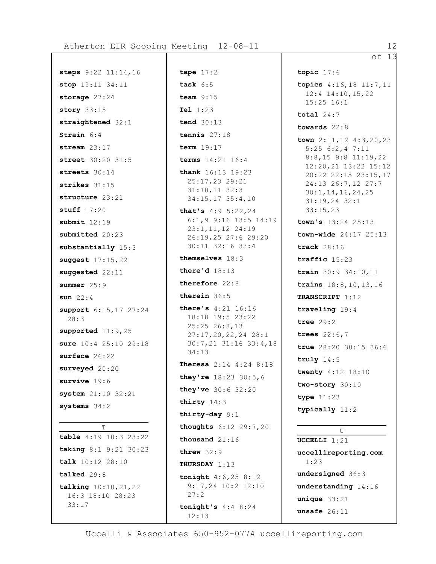**steps** 9:22 11:14,16 **stop** 19:11 34:11 **storage** 27:24 **story** 33:15 **straightened** 32:1 **Strain** 6:4 **stream** 23:17 **street** 30:20 31:5 **streets** 30:14 **strikes** 31:15 **structure** 23:21 **stuff** 17:20 **submit** 12:19 **submitted** 20:23 **substantially** 15:3 **suggest** 17:15,22 **suggested** 22:11 **summer** 25:9 **sun** 22:4 **support** 6:15,17 27:24 28:3 **supported** 11:9,25 **sure** 10:4 25:10 29:18 **surface** 26:22 **surveyed** 20:20 **survive** 19:6 **system** 21:10 32:21 **systems** 34:2 T **table** 4:19 10:3 23:22 **taking** 8:1 9:21 30:23 **talk** 10:12 28:10 **talked** 29:8 **talking** 10:10,21,22 16:3 18:10 28:23

33:17

**tape** 17:2 **task** 6:5 **team** 9:15 **Tel** 1:23 **tend** 30:13 **tennis** 27:18 **term** 19:17 **terms** 14:21 16:4 **thank** 16:13 19:23 25:17,23 29:21 31:10,11 32:3 34:15,17 35:4,10 **that's** 4:9 5:22,24 6:1,9 9:16 13:5 14:19 23:1,11,12 24:19 26:19,25 27:6 29:20 30:11 32:16 33:4 **themselves** 18:3 **there'd** 18:13 **therefore** 22:8 **therein** 36:5 **there's** 4:21 16:16 18:18 19:5 23:22 25:25 26:8,13 27:17,20,22,24 28:1 30:7,21 31:16 33:4,18 34:13 **Theresa** 2:14 4:24 8:18 **they're** 18:23 30:5,6 **they've** 30:6 32:20 **thirty** 14:3 **thirty-day** 9:1 **thoughts** 6:12 29:7,20 **thousand** 21:16 **threw** 32:9 **THURSDAY** 1:13 **tonight** 4:6,25 8:12 9:17,24 10:2 12:10 27:2 **tonight's** 4:4 8:24 12:13

**topic** 17:6 **topics** 4:16,18 11:7,11 12:4 14:10,15,22 15:25 16:1 **total** 24:7 **towards** 22:8 **town** 2:11,12 4:3,20,23 5:25 6:2,4 7:11 8:8,15 9:8 11:19,22 12:20,21 13:22 15:12 20:22 22:15 23:15,17 24:13 26:7,12 27:7 30:1,14,16,24,25 31:19,24 32:1 33:15,23 **town's** 13:24 25:13 **town-wide** 24:17 25:13 **track** 28:16 **traffic** 15:23 **train** 30:9 34:10,11 **trains** 18:8,10,13,16 **TRANSCRIPT** 1:12 **traveling** 19:4 **tree** 29:2 **trees** 22:6,7 **true** 28:20 30:15 36:6 **truly** 14:5 **twenty** 4:12 18:10 **two-story** 30:10 **type** 11:23 **typically** 11:2 U **UCCELLI** 1:21 **uccellireporting.com** 1:23 **undersigned** 36:3 **understanding** 14:16 **unique** 33:21

**unsafe** 26:11

of 13